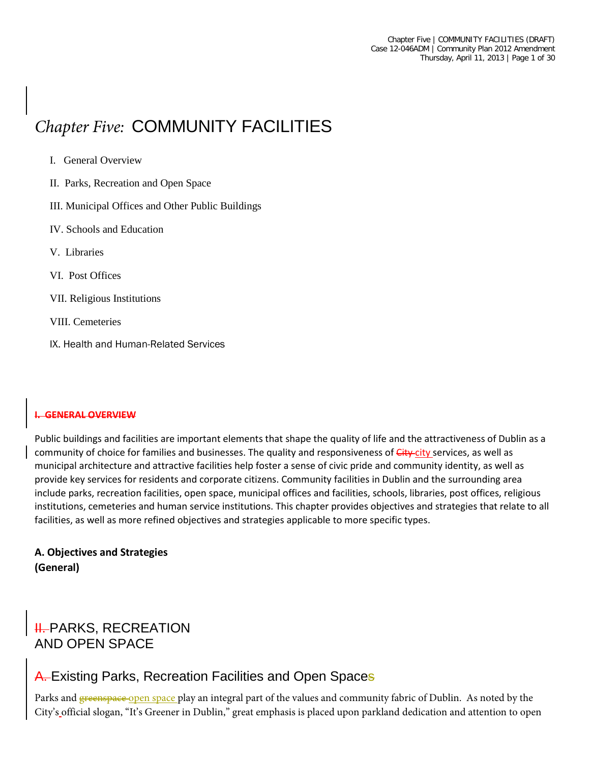# *Chapter Five:* COMMUNITY FACILITIES

| I. General Overview |
|---------------------|
|                     |

- II. Parks, Recreation and Open Space
- III. Municipal Offices and Other Public Buildings
- IV. Schools and Education
- V. Libraries
- VI. Post Offices
- VII. Religious Institutions
- VIII. Cemeteries
- IX. Health and Human-Related Services

#### **I. GENERAL OVERVIEW**

Public buildings and facilities are important elements that shape the quality of life and the attractiveness of Dublin as a community of choice for families and businesses. The quality and responsiveness of City-city services, as well as municipal architecture and attractive facilities help foster a sense of civic pride and community identity, as well as provide key services for residents and corporate citizens. Community facilities in Dublin and the surrounding area include parks, recreation facilities, open space, municipal offices and facilities, schools, libraries, post offices, religious institutions, cemeteries and human service institutions. This chapter provides objectives and strategies that relate to all facilities, as well as more refined objectives and strategies applicable to more specific types.

#### **A. Objectives and Strategies (General)**

### **II. PARKS, RECREATION** AND OPEN SPACE

### A. Existing Parks, Recreation Facilities and Open Spaces

Parks and **greenspace open space** play an integral part of the values and community fabric of Dublin. As noted by the City's official slogan, "It's Greener in Dublin," great emphasis is placed upon parkland dedication and attention to open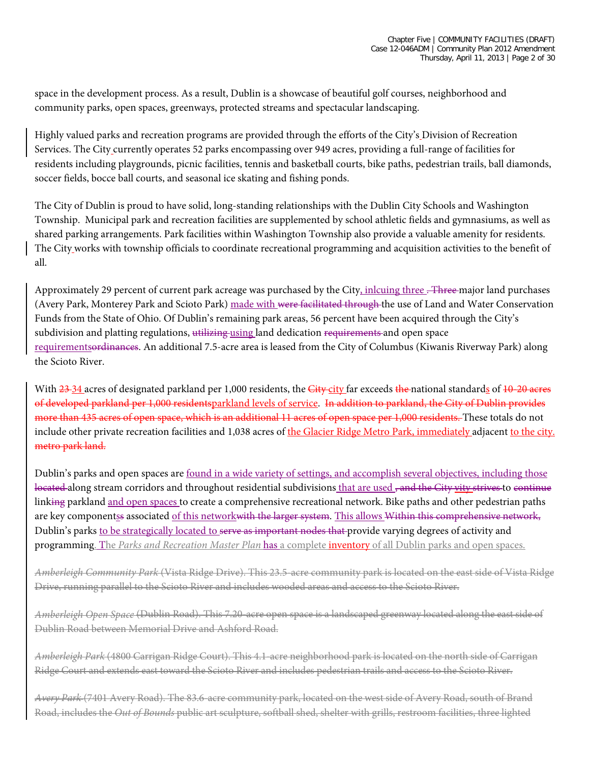space in the development process. As a result, Dublin is a showcase of beautiful golf courses, neighborhood and community parks, open spaces, greenways, protected streams and spectacular landscaping.

Highly valued parks and recreation programs are provided through the efforts of the City's Division of Recreation Services. The City currently operates 52 parks encompassing over 949 acres, providing a full-range of facilities for residents including playgrounds, picnic facilities, tennis and basketball courts, bike paths, pedestrian trails, ball diamonds, soccer fields, bocce ball courts, and seasonal ice skating and fishing ponds.

The City of Dublin is proud to have solid, long-standing relationships with the Dublin City Schools and Washington Township. Municipal park and recreation facilities are supplemented by school athletic fields and gymnasiums, as well as shared parking arrangements. Park facilities within Washington Township also provide a valuable amenity for residents. The City works with township officials to coordinate recreational programming and acquisition activities to the benefit of all.

Approximately 29 percent of current park acreage was purchased by the City, inlcuing three . Three major land purchases (Avery Park, Monterey Park and Scioto Park) made with were facilitated through the use of Land and Water Conservation Funds from the State of Ohio. Of Dublin's remaining park areas, 56 percent have been acquired through the City's subdivision and platting regulations, utilizing using land dedication requirements and open space requirementsordinances. An additional 7.5-acre area is leased from the City of Columbus (Kiwanis Riverway Park) along the Scioto River.

With  $23-34$  acres of designated parkland per 1,000 residents, the City-city far exceeds the national standards of  $10-20$  acres of developed parkland per 1,000 residentsparkland levels of service. In addition to parkland, the City of Dublin provides more than 435 acres of open space, which is an additional 11 acres of open space per 1,000 residents. These totals do not include other private recreation facilities and 1,038 acres of the Glacier Ridge Metro Park, immediately adjacent to the city. metro park land.

Dublin's parks and open spaces are found in a wide variety of settings, and accomplish several objectives, including those located along stream corridors and throughout residential subdivisions that are used, and the City vity strives to continue linking parkland and open spaces to create a comprehensive recreational network. Bike paths and other pedestrian paths are key components associated of this network with the larger system. This allows Within this comprehensive network, Dublin's parks to be strategically located to serve as important nodes that provide varying degrees of activity and programming. The *Parks and Recreation Master Plan* has a complete inventory of all Dublin parks and open spaces.

*Amberleigh Community Park* (Vista Ridge Drive). This 23.5-acre community park is located on the east side of Vista Ridge Drive, running parallel to the Scioto River and includes wooded areas and access to the Scioto River.

*Amberleigh Open Space* (Dublin Road). This 7.20-acre open space is a landscaped greenway located along the east side of Dublin Road between Memorial Drive and Ashford Road.

*Amberleigh Park* (4800 Carrigan Ridge Court). This 4.1-acre neighborhood park is located on the north side of Carrigan Ridge Court and extends east toward the Scioto River and includes pedestrian trails and access to the Scioto River.

*Avery Park* (7401 Avery Road). The 83.6-acre community park, located on the west side of Avery Road, south of Brand Road, includes the *Out of Bounds* public art sculpture, softball shed, shelter with grills, restroom facilities, three lighted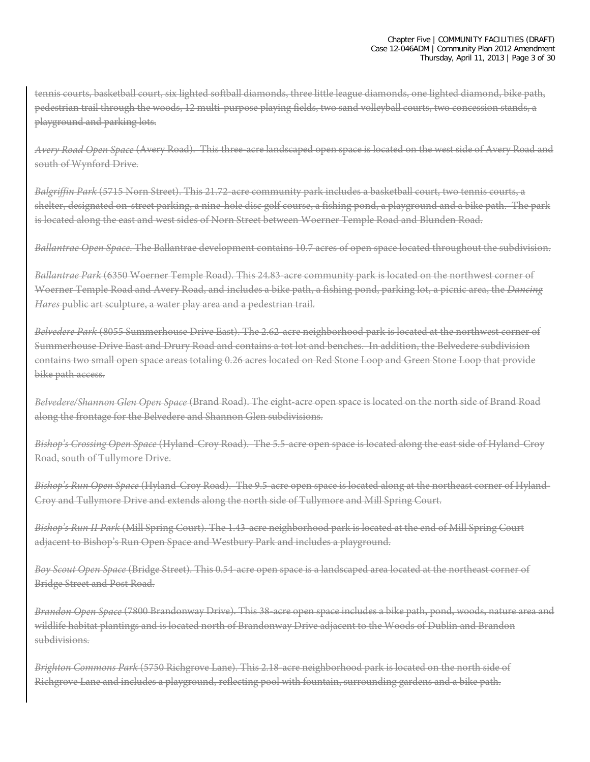tennis courts, basketball court, six lighted softball diamonds, three little league diamonds, one lighted diamond, bike path, pedestrian trail through the woods, 12 multi-purpose playing fields, two sand volleyball courts, two concession stands, a playground and parking lots.

*Avery Road Open Space* (Avery Road). This three-acre landscaped open space is located on the west side of Avery Road and south of Wynford Drive.

*Balgriffin Park* (5715 Norn Street). This 21.72-acre community park includes a basketball court, two tennis courts, a shelter, designated on-street parking, a nine-hole disc golf course, a fishing pond, a playground and a bike path. The park is located along the east and west sides of Norn Street between Woerner Temple Road and Blunden Road.

*Ballantrae Open Space*. The Ballantrae development contains 10.7 acres of open space located throughout the subdivision.

*Ballantrae Park* (6350 Woerner Temple Road). This 24.83-acre community park is located on the northwest corner of Woerner Temple Road and Avery Road, and includes a bike path, a fishing pond, parking lot, a picnic area, the *Dancing Hares* public art sculpture, a water play area and a pedestrian trail.

*Belvedere Park* (8055 Summerhouse Drive East). The 2.62-acre neighborhood park is located at the northwest corner of Summerhouse Drive East and Drury Road and contains a tot lot and benches. In addition, the Belvedere subdivision contains two small open space areas totaling 0.26 acres located on Red Stone Loop and Green Stone Loop that provide bike path access.

*Belvedere/Shannon Glen Open Space* (Brand Road). The eight-acre open space is located on the north side of Brand Road along the frontage for the Belvedere and Shannon Glen subdivisions.

*Bishop's Crossing Open Space* (Hyland-Croy Road). The 5.5-acre open space is located along the east side of Hyland-Croy Road, south of Tullymore Drive.

*Bishop's Run Open Space* (Hyland-Croy Road). The 9.5-acre open space is located along at the northeast corner of Hyland-Croy and Tullymore Drive and extends along the north side of Tullymore and Mill Spring Court.

*Bishop's Run II Park* (Mill Spring Court). The 1.43-acre neighborhood park is located at the end of Mill Spring Court adjacent to Bishop's Run Open Space and Westbury Park and includes a playground.

*Boy Scout Open Space* (Bridge Street). This 0.54-acre open space is a landscaped area located at the northeast corner of Bridge Street and Post Road.

*Brandon Open Space* (7800 Brandonway Drive). This 38-acre open space includes a bike path, pond, woods, nature area and wildlife habitat plantings and is located north of Brandonway Drive adjacent to the Woods of Dublin and Brandon subdivisions.

*Brighton Commons Park* (5750 Richgrove Lane). This 2.18-acre neighborhood park is located on the north side of Richgrove Lane and includes a playground, reflecting pool with fountain, surrounding gardens and a bike path.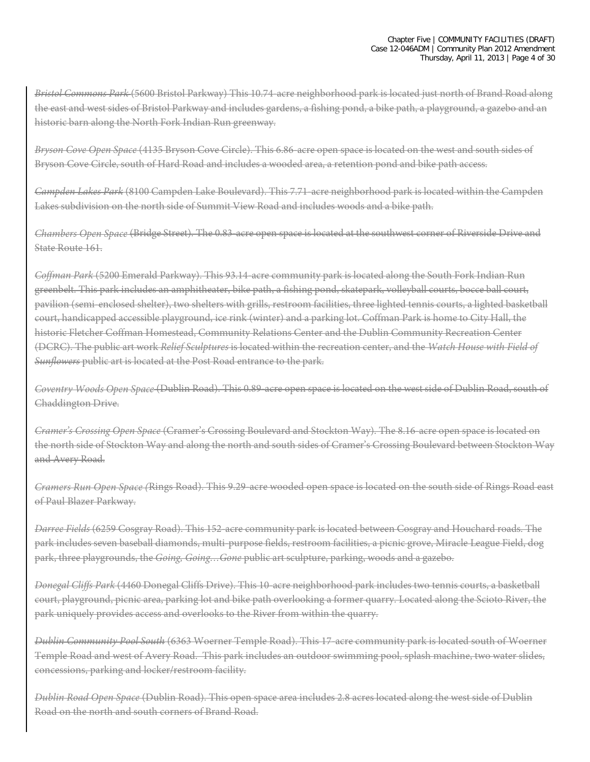*Bristol Commons Park* (5600 Bristol Parkway) This 10.74-acre neighborhood park is located just north of Brand Road along the east and west sides of Bristol Parkway and includes gardens, a fishing pond, a bike path, a playground, a gazebo and an historic barn along the North Fork Indian Run greenway.

*Bryson Cove Open Space* (4135 Bryson Cove Circle). This 6.86-acre open space is located on the west and south sides of Bryson Cove Circle, south of Hard Road and includes a wooded area, a retention pond and bike path access.

*Campden Lakes Park* (8100 Campden Lake Boulevard). This 7.71-acre neighborhood park is located within the Campden Lakes subdivision on the north side of Summit View Road and includes woods and a bike path.

*Chambers Open Space* (Bridge Street). The 0.83-acre open space is located at the southwest corner of Riverside Drive and State Route 161.

*Coffman Park* (5200 Emerald Parkway). This 93.14-acre community park is located along the South Fork Indian Run greenbelt. This park includes an amphitheater, bike path, a fishing pond, skatepark, volleyball courts, bocce ball court, pavilion (semi-enclosed shelter), two shelters with grills, restroom facilities, three lighted tennis courts, a lighted basketball court, handicapped accessible playground, ice rink (winter) and a parking lot. Coffman Park is home to City Hall, the historic Fletcher Coffman Homestead, Community Relations Center and the Dublin Community Recreation Center (DCRC). The public art work *Relief Sculptures* is located within the recreation center, and the *Watch House with Field of Sunflowers* public art is located at the Post Road entrance to the park.

*Coventry Woods Open Space* (Dublin Road). This 0.89-acre open space is located on the west side of Dublin Road, south of Chaddington Drive.

*Cramer's Crossing Open Space* (Cramer's Crossing Boulevard and Stockton Way). The 8.16-acre open space is located on the north side of Stockton Way and along the north and south sides of Cramer's Crossing Boulevard between Stockton Way and Avery Road.

*Cramers Run Open Space (*Rings Road). This 9.29-acre wooded open space is located on the south side of Rings Road east of Paul Blazer Parkway.

*Darree Fields* (6259 Cosgray Road). This 152-acre community park is located between Cosgray and Houchard roads. The park includes seven baseball diamonds, multi-purpose fields, restroom facilities, a picnic grove, Miracle League Field, dog park, three playgrounds, the *Going, Going…Gone* public art sculpture, parking, woods and a gazebo.

*Donegal Cliffs Park* (4460 Donegal Cliffs Drive). This 10-acre neighborhood park includes two tennis courts, a basketball court, playground, picnic area, parking lot and bike path overlooking a former quarry. Located along the Scioto River, the park uniquely provides access and overlooks to the River from within the quarry.

*Dublin Community Pool South* (6363 Woerner Temple Road). This 17-acre community park is located south of Woerner Temple Road and west of Avery Road. This park includes an outdoor swimming pool, splash machine, two water slides, concessions, parking and locker/restroom facility.

*Dublin Road Open Space* (Dublin Road). This open space area includes 2.8 acres located along the west side of Dublin Road on the north and south corners of Brand Road.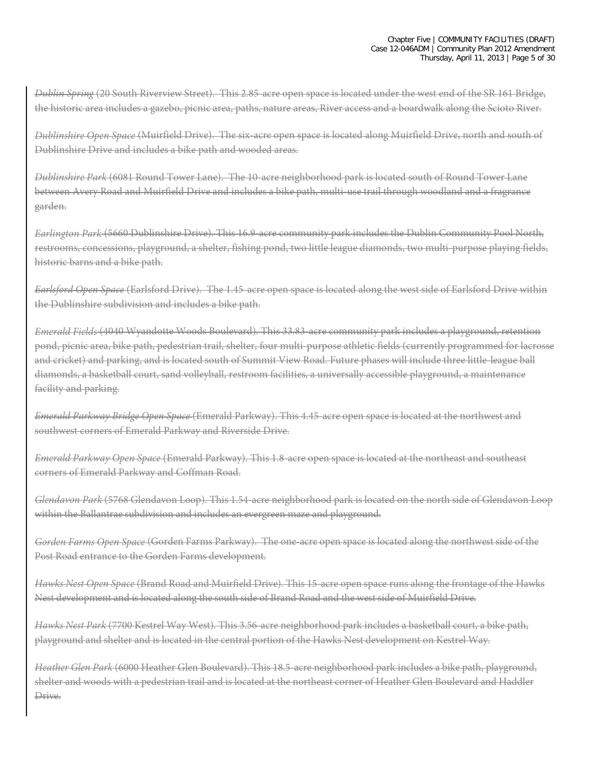*Dublin Spring* (20 South Riverview Street). This 2.85-acre open space is located under the west end of the SR 161 Bridge, the historic area includes a gazebo, picnic area, paths, nature areas, River access and a boardwalk along the Scioto River.

*Dublinshire Open Space* (Muirfield Drive). The six-acre open space is located along Muirfield Drive, north and south of Dublinshire Drive and includes a bike path and wooded areas.

*Dublinshire Park* (6081 Round Tower Lane). The 10-acre neighborhood park is located south of Round Tower Lane between Avery Road and Muirfield Drive and includes a bike path, multi-use trail through woodland and a fragrance garden.

*Earlington Park* (5660 Dublinshire Drive). This 16.9-acre community park includes the Dublin Community Pool North, restrooms, concessions, playground, a shelter, fishing pond, two little league diamonds, two multi-purpose playing fields, historic barns and a bike path.

*Earlsford Open Space* (Earlsford Drive). The 1.45-acre open space is located along the west side of Earlsford Drive within the Dublinshire subdivision and includes a bike path.

*Emerald Fields* (4040 Wyandotte Woods Boulevard). This 33.83-acre community park includes a playground, retention pond, picnic area, bike path, pedestrian trail, shelter, four multi-purpose athletic fields (currently programmed for lacrosse and cricket) and parking, and is located south of Summit View Road. Future phases will include three little-league ball diamonds, a basketball court, sand volleyball, restroom facilities, a universally accessible playground, a maintenance facility and parking.

*Emerald Parkway Bridge Open Space* (Emerald Parkway). This 4.45-acre open space is located at the northwest and southwest corners of Emerald Parkway and Riverside Drive.

*Emerald Parkway Open Space* (Emerald Parkway). This 1.8-acre open space is located at the northeast and southeast corners of Emerald Parkway and Coffman Road.

*Glendavon Park* (5768 Glendavon Loop). This 1.54-acre neighborhood park is located on the north side of Glendavon Loop within the Ballantrae subdivision and includes an evergreen maze and playground.

*Gorden Farms Open Space* (Gorden Farms Parkway). The one-acre open space is located along the northwest side of the Post Road entrance to the Gorden Farms development.

*Hawks Nest Open Space* (Brand Road and Muirfield Drive). This 15-acre open space runs along the frontage of the Hawks Nest development and is located along the south side of Brand Road and the west side of Muirfield Drive.

*Hawks Nest Park* (7700 Kestrel Way West). This 3.56-acre neighborhood park includes a basketball court, a bike path, playground and shelter and is located in the central portion of the Hawks Nest development on Kestrel Way.

*Heather Glen Park* (6000 Heather Glen Boulevard). This 18.5-acre neighborhood park includes a bike path, playground, shelter and woods with a pedestrian trail and is located at the northeast corner of Heather Glen Boulevard and Haddler Drive.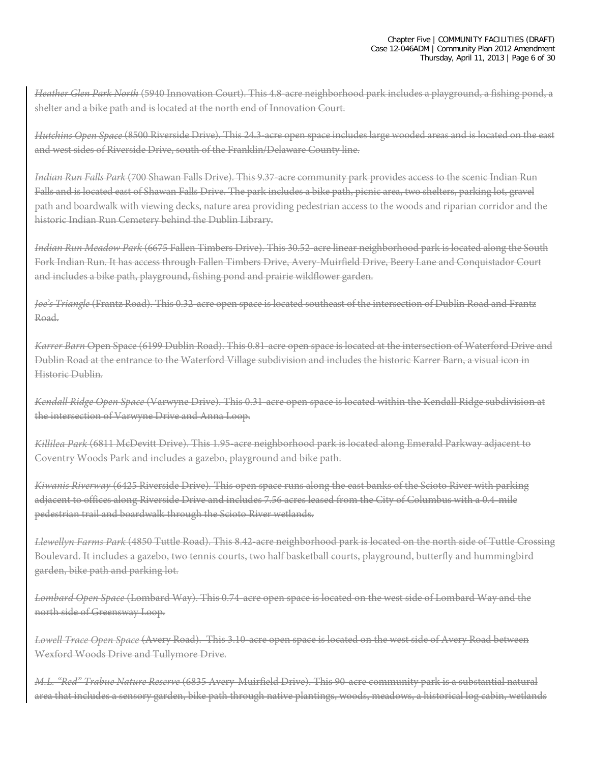*Heather Glen Park North* (5940 Innovation Court). This 4.8-acre neighborhood park includes a playground, a fishing pond, a shelter and a bike path and is located at the north end of Innovation Court.

*Hutchins Open Space* (8500 Riverside Drive). This 24.3-acre open space includes large wooded areas and is located on the east and west sides of Riverside Drive, south of the Franklin/Delaware County line.

*Indian Run Falls Park* (700 Shawan Falls Drive). This 9.37-acre community park provides access to the scenic Indian Run Falls and is located east of Shawan Falls Drive. The park includes a bike path, picnic area, two shelters, parking lot, gravel path and boardwalk with viewing decks, nature area providing pedestrian access to the woods and riparian corridor and the historic Indian Run Cemetery behind the Dublin Library.

*Indian Run Meadow Park* (6675 Fallen Timbers Drive). This 30.52-acre linear neighborhood park is located along the South Fork Indian Run. It has access through Fallen Timbers Drive, Avery-Muirfield Drive, Beery Lane and Conquistador Court and includes a bike path, playground, fishing pond and prairie wildflower garden.

*Joe's Triangle* (Frantz Road). This 0.32-acre open space is located southeast of the intersection of Dublin Road and Frantz Road.

*Karrer Barn* Open Space (6199 Dublin Road). This 0.81-acre open space is located at the intersection of Waterford Drive and Dublin Road at the entrance to the Waterford Village subdivision and includes the historic Karrer Barn, a visual icon in Historic Dublin.

*Kendall Ridge Open Space* (Varwyne Drive). This 0.31-acre open space is located within the Kendall Ridge subdivision at the intersection of Varwyne Drive and Anna Loop.

*Killilea Park* (6811 McDevitt Drive). This 1.95-acre neighborhood park is located along Emerald Parkway adjacent to Coventry Woods Park and includes a gazebo, playground and bike path.

*Kiwanis Riverway* (6425 Riverside Drive)*.* This open space runs along the east banks of the Scioto River with parking adjacent to offices along Riverside Drive and includes 7.56 acres leased from the City of Columbus with a 0.4-mile pedestrian trail and boardwalk through the Scioto River wetlands.

*Llewellyn Farms Park* (4850 Tuttle Road). This 8.42-acre neighborhood park is located on the north side of Tuttle Crossing Boulevard. It includes a gazebo, two tennis courts, two half basketball courts, playground, butterfly and hummingbird garden, bike path and parking lot.

*Lombard Open Space* (Lombard Way). This 0.74-acre open space is located on the west side of Lombard Way and the north side of Greensway Loop.

*Lowell Trace Open Space* (Avery Road). This 3.10-acre open space is located on the west side of Avery Road between Wexford Woods Drive and Tullymore Drive.

*M.L. "Red" Trabue Nature Reserve* (6835 Avery-Muirfield Drive). This 90-acre community park is a substantial natural area that includes a sensory garden, bike path through native plantings, woods, meadows, a historical log cabin, wetlands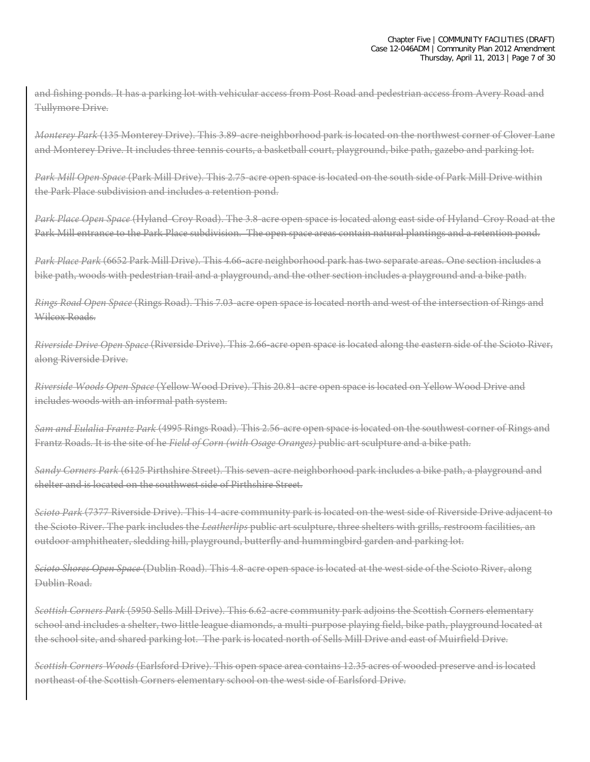and fishing ponds. It has a parking lot with vehicular access from Post Road and pedestrian access from Avery Road and Tullymore Drive.

*Monterey Park* (135 Monterey Drive). This 3.89-acre neighborhood park is located on the northwest corner of Clover Lane and Monterey Drive. It includes three tennis courts, a basketball court, playground, bike path, gazebo and parking lot.

*Park Mill Open Space* (Park Mill Drive). This 2.75-acre open space is located on the south side of Park Mill Drive within the Park Place subdivision and includes a retention pond.

*Park Place Open Space* (Hyland-Croy Road). The 3.8-acre open space is located along east side of Hyland-Croy Road at the Park Mill entrance to the Park Place subdivision. The open space areas contain natural plantings and a retention pond.

*Park Place Park* (6652 Park Mill Drive). This 4.66-acre neighborhood park has two separate areas. One section includes a bike path, woods with pedestrian trail and a playground, and the other section includes a playground and a bike path.

*Rings Road Open Space* (Rings Road). This 7.03-acre open space is located north and west of the intersection of Rings and Wilcox Roads.

*Riverside Drive Open Space* (Riverside Drive). This 2.66-acre open space is located along the eastern side of the Scioto River, along Riverside Drive.

*Riverside Woods Open Space* (Yellow Wood Drive). This 20.81-acre open space is located on Yellow Wood Drive and includes woods with an informal path system.

*Sam and Eulalia Frantz Park* (4995 Rings Road). This 2.56-acre open space is located on the southwest corner of Rings and Frantz Roads. It is the site of he *Field of Corn (with Osage Oranges)* public art sculpture and a bike path.

*Sandy Corners Park* (6125 Pirthshire Street). This seven-acre neighborhood park includes a bike path, a playground and shelter and is located on the southwest side of Pirthshire Street.

*Scioto Park* (7377 Riverside Drive). This 14-acre community park is located on the west side of Riverside Drive adjacent to the Scioto River. The park includes the *Leatherlips* public art sculpture, three shelters with grills, restroom facilities, an outdoor amphitheater, sledding hill, playground, butterfly and hummingbird garden and parking lot.

*Scioto Shores Open Space* (Dublin Road). This 4.8-acre open space is located at the west side of the Scioto River, along Dublin Road.

*Scottish Corners Park* (5950 Sells Mill Drive). This 6.62-acre community park adjoins the Scottish Corners elementary school and includes a shelter, two little league diamonds, a multi-purpose playing field, bike path, playground located at the school site, and shared parking lot. The park is located north of Sells Mill Drive and east of Muirfield Drive.

*Scottish Corners Woods* (Earlsford Drive). This open space area contains 12.35 acres of wooded preserve and is located northeast of the Scottish Corners elementary school on the west side of Earlsford Drive.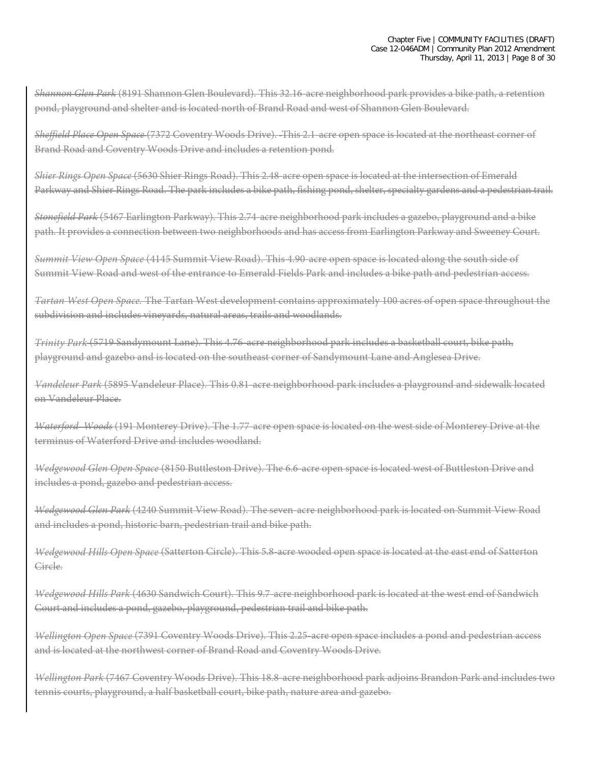*Shannon Glen Park* (8191 Shannon Glen Boulevard). This 32.16-acre neighborhood park provides a bike path, a retention pond, playground and shelter and is located north of Brand Road and west of Shannon Glen Boulevard.

*Sheffield Place Open Space* (7372 Coventry Woods Drive). This 2.1-acre open space is located at the northeast corner of Brand Road and Coventry Woods Drive and includes a retention pond.

*Shier Rings Open Space* (5630 Shier Rings Road). This 2.48-acre open space is located at the intersection of Emerald Parkway and Shier Rings Road. The park includes a bike path, fishing pond, shelter, specialty gardens and a pedestrian trail.

*Stonefield Park* (5467 Earlington Parkway). This 2.74-acre neighborhood park includes a gazebo, playground and a bike path. It provides a connection between two neighborhoods and has access from Earlington Parkway and Sweeney Court.

*Summit View Open Space* (4145 Summit View Road). This 4.90-acre open space is located along the south side of Summit View Road and west of the entrance to Emerald Fields Park and includes a bike path and pedestrian access.

*Tartan West Open Space.* The Tartan West development contains approximately 100 acres of open space throughout the subdivision and includes vineyards, natural areas, trails and woodlands.

*Trinity Park* (5719 Sandymount Lane). This 4.76-acre neighborhood park includes a basketball court, bike path, playground and gazebo and is located on the southeast corner of Sandymount Lane and Anglesea Drive.

*Vandeleur Park* (5895 Vandeleur Place). This 0.81-acre neighborhood park includes a playground and sidewalk located on Vandeleur Place.

*Waterford Woods* (191 Monterey Drive). The 1.77-acre open space is located on the west side of Monterey Drive at the terminus of Waterford Drive and includes woodland.

*Wedgewood Glen Open Space* (8150 Buttleston Drive). The 6.6-acre open space is located west of Buttleston Drive and includes a pond, gazebo and pedestrian access.

*Wedgewood Glen Park* (4240 Summit View Road). The seven-acre neighborhood park is located on Summit View Road and includes a pond, historic barn, pedestrian trail and bike path.

*Wedgewood Hills Open Space* (Satterton Circle). This 5.8-acre wooded open space is located at the east end of Satterton Circle.

*Wedgewood Hills Park* (4630 Sandwich Court). This 9.7-acre neighborhood park is located at the west end of Sandwich Court and includes a pond, gazebo, playground, pedestrian trail and bike path.

*Wellington Open Space* (7391 Coventry Woods Drive). This 2.25-acre open space includes a pond and pedestrian access and is located at the northwest corner of Brand Road and Coventry Woods Drive.

*Wellington Park* (7467 Coventry Woods Drive). This 18.8-acre neighborhood park adjoins Brandon Park and includes two tennis courts, playground, a half basketball court, bike path, nature area and gazebo.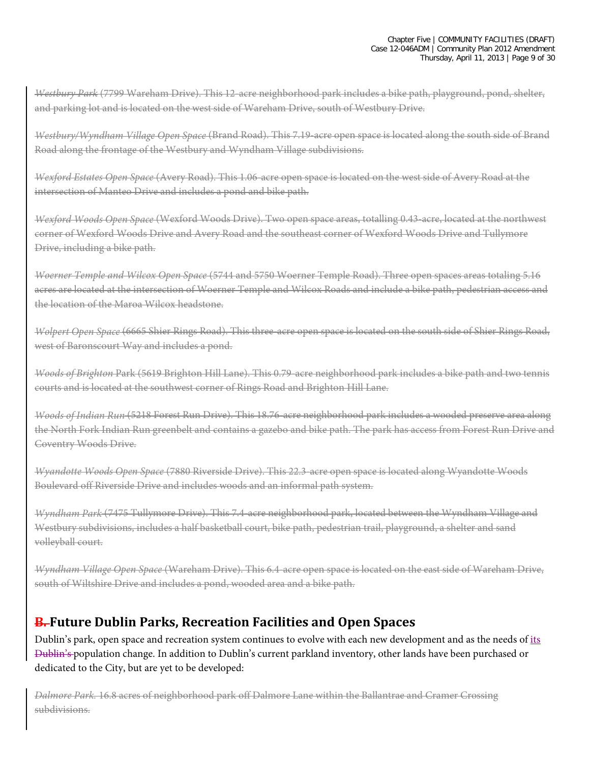*Westbury Park* (7799 Wareham Drive). This 12-acre neighborhood park includes a bike path, playground, pond, shelter, and parking lot and is located on the west side of Wareham Drive, south of Westbury Drive.

*Westbury/Wyndham Village Open Space* (Brand Road). This 7.19-acre open space is located along the south side of Brand Road along the frontage of the Westbury and Wyndham Village subdivisions.

*Wexford Estates Open Space* (Avery Road). This 1.06-acre open space is located on the west side of Avery Road at the intersection of Manteo Drive and includes a pond and bike path.

*Wexford Woods Open Space* (Wexford Woods Drive). Two open space areas, totalling 0.43-acre, located at the northwest corner of Wexford Woods Drive and Avery Road and the southeast corner of Wexford Woods Drive and Tullymore Drive, including a bike path.

*Woerner Temple and Wilcox Open Space* (5744 and 5750 Woerner Temple Road). Three open spaces areas totaling 5.16 acres are located at the intersection of Woerner Temple and Wilcox Roads and include a bike path, pedestrian access and the location of the Maroa Wilcox headstone.

*Wolpert Open Space* (6665 Shier Rings Road). This three-acre open space is located on the south side of Shier Rings Road, west of Baronscourt Way and includes a pond.

*Woods of Brighton* Park (5619 Brighton Hill Lane). This 0.79-acre neighborhood park includes a bike path and two tennis courts and is located at the southwest corner of Rings Road and Brighton Hill Lane.

*Woods of Indian Run* (5218 Forest Run Drive). This 18.76-acre neighborhood park includes a wooded preserve area along the North Fork Indian Run greenbelt and contains a gazebo and bike path. The park has access from Forest Run Drive and Coventry Woods Drive.

*Wyandotte Woods Open Space* (7880 Riverside Drive). This 22.3-acre open space is located along Wyandotte Woods Boulevard off Riverside Drive and includes woods and an informal path system.

*Wyndham Park* (7475 Tullymore Drive). This 7.4-acre neighborhood park, located between the Wyndham Village and Westbury subdivisions, includes a half basketball court, bike path, pedestrian trail, playground, a shelter and sand volleyball court.

*Wyndham Village Open Space* (Wareham Drive). This 6.4-acre open space is located on the east side of Wareham Drive, south of Wiltshire Drive and includes a pond, wooded area and a bike path.

### **B. Future Dublin Parks, Recreation Facilities and Open Spaces**

Dublin's park, open space and recreation system continues to evolve with each new development and as the needs of its Dublin's population change. In addition to Dublin's current parkland inventory, other lands have been purchased or dedicated to the City, but are yet to be developed:

*Dalmore Park.* 16.8 acres of neighborhood park off Dalmore Lane within the Ballantrae and Cramer Crossing subdivisions.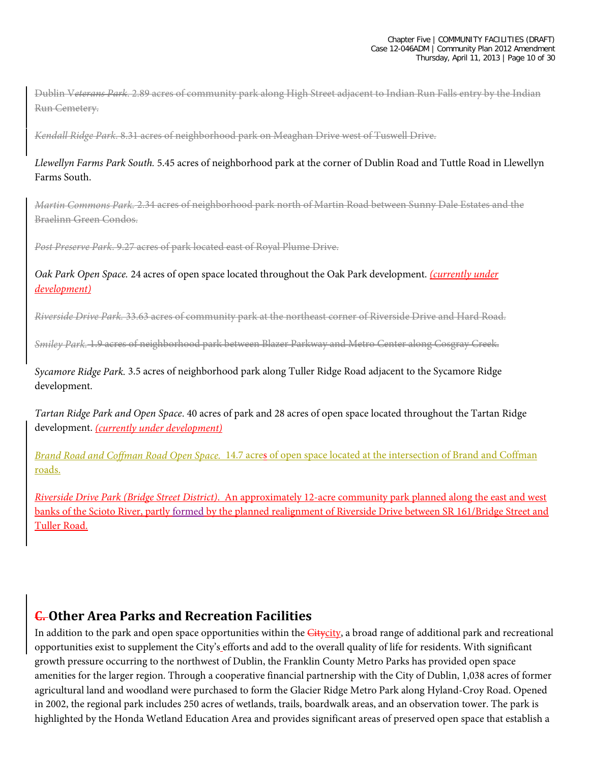Dublin V*eterans Park*. 2.89 acres of community park along High Street adjacent to Indian Run Falls entry by the Indian Run Cemetery.

*Kendall Ridge Park*. 8.31 acres of neighborhood park on Meaghan Drive west of Tuswell Drive.

#### *Llewellyn Farms Park South.* 5.45 acres of neighborhood park at the corner of Dublin Road and Tuttle Road in Llewellyn Farms South.

*Martin Commons Park.* 2.34 acres of neighborhood park north of Martin Road between Sunny Dale Estates and the Braelinn Green Condos.

*Post Preserve Park*. 9.27 acres of park located east of Royal Plume Drive.

#### *Oak Park Open Space.* 24 acres of open space located throughout the Oak Park development. *(currently under development)*

*Riverside Drive Park.* 33.63 acres of community park at the northeast corner of Riverside Drive and Hard Road.

*Smiley Park.* 1.9 acres of neighborhood park between Blazer Parkway and Metro Center along Cosgray Creek.

*Sycamore Ridge Park.* 3.5 acres of neighborhood park along Tuller Ridge Road adjacent to the Sycamore Ridge development.

*Tartan Ridge Park and Open Space*. 40 acres of park and 28 acres of open space located throughout the Tartan Ridge development. *(currently under development)*

*Brand Road and Coffman Road Open Space.* 14.7 acres of open space located at the intersection of Brand and Coffman roads.

*Riverside Drive Park (Bridge Street District)*. An approximately 12-acre community park planned along the east and west banks of the Scioto River, partly formed by the planned realignment of Riverside Drive between SR 161/Bridge Street and Tuller Road.

### **C. Other Area Parks and Recreation Facilities**

In addition to the park and open space opportunities within the *Citycity*, a broad range of additional park and recreational opportunities exist to supplement the City's efforts and add to the overall quality of life for residents. With significant growth pressure occurring to the northwest of Dublin, the Franklin County Metro Parks has provided open space amenities for the larger region. Through a cooperative financial partnership with the City of Dublin, 1,038 acres of former agricultural land and woodland were purchased to form the Glacier Ridge Metro Park along Hyland-Croy Road. Opened in 2002, the regional park includes 250 acres of wetlands, trails, boardwalk areas, and an observation tower. The park is highlighted by the Honda Wetland Education Area and provides significant areas of preserved open space that establish a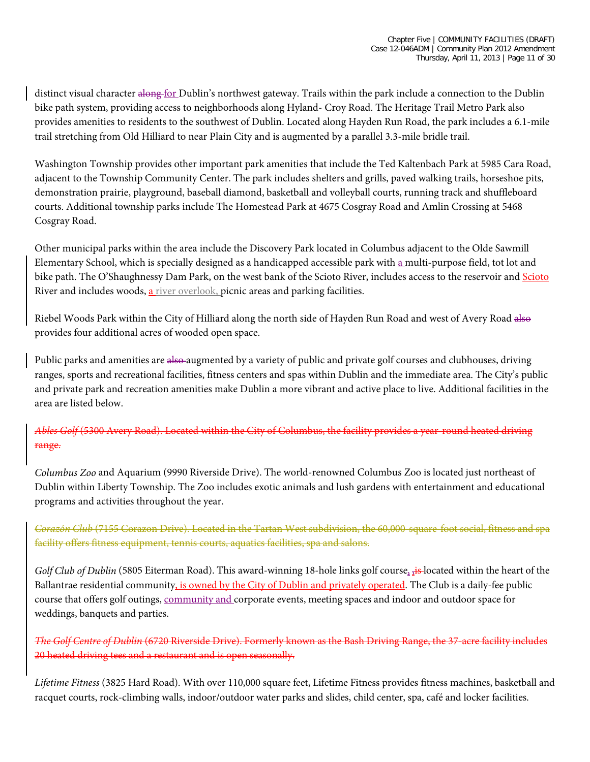distinct visual character along for Dublin's northwest gateway. Trails within the park include a connection to the Dublin bike path system, providing access to neighborhoods along Hyland- Croy Road. The Heritage Trail Metro Park also provides amenities to residents to the southwest of Dublin. Located along Hayden Run Road, the park includes a 6.1-mile trail stretching from Old Hilliard to near Plain City and is augmented by a parallel 3.3-mile bridle trail.

Washington Township provides other important park amenities that include the Ted Kaltenbach Park at 5985 Cara Road, adjacent to the Township Community Center. The park includes shelters and grills, paved walking trails, horseshoe pits, demonstration prairie, playground, baseball diamond, basketball and volleyball courts, running track and shuffleboard courts. Additional township parks include The Homestead Park at 4675 Cosgray Road and Amlin Crossing at 5468 Cosgray Road.

Other municipal parks within the area include the Discovery Park located in Columbus adjacent to the Olde Sawmill Elementary School, which is specially designed as a handicapped accessible park with a multi-purpose field, tot lot and bike path. The O'Shaughnessy Dam Park, on the west bank of the Scioto River, includes access to the reservoir and Scioto River and includes woods, a river overlook, picnic areas and parking facilities.

Riebel Woods Park within the City of Hilliard along the north side of Hayden Run Road and west of Avery Road also provides four additional acres of wooded open space.

Public parks and amenities are also augmented by a variety of public and private golf courses and clubhouses, driving ranges, sports and recreational facilities, fitness centers and spas within Dublin and the immediate area. The City's public and private park and recreation amenities make Dublin a more vibrant and active place to live. Additional facilities in the area are listed below.

*Ables Golf* (5300 Avery Road). Located within the City of Columbus, the facility provides a year-round heated driving range.

*Columbus Zoo* and Aquarium (9990 Riverside Drive). The world-renowned Columbus Zoo is located just northeast of Dublin within Liberty Township. The Zoo includes exotic animals and lush gardens with entertainment and educational programs and activities throughout the year.

*Corazón Club* (7155 Corazon Drive). Located in the Tartan West subdivision, the 60,000-square-foot social, fitness and spa facility offers fitness equipment, tennis courts, aquatics facilities, spa and salons.

*Golf Club of Dublin* (5805 Eiterman Road). This award-winning 18-hole links golf course,  $\frac{1}{2}$ is-located within the heart of the Ballantrae residential community, is owned by the City of Dublin and privately operated. The Club is a daily-fee public course that offers golf outings, community and corporate events, meeting spaces and indoor and outdoor space for weddings, banquets and parties.

*The Golf Centre of Dublin* (6720 Riverside Drive). Formerly known as the Bash Driving Range, the 37-acre factor 20 heated driving tees and a restaurant and is open seasonally.

*Lifetime Fitness* (3825 Hard Road). With over 110,000 square feet, Lifetime Fitness provides fitness machines, basketball and racquet courts, rock-climbing walls, indoor/outdoor water parks and slides, child center, spa, café and locker facilities.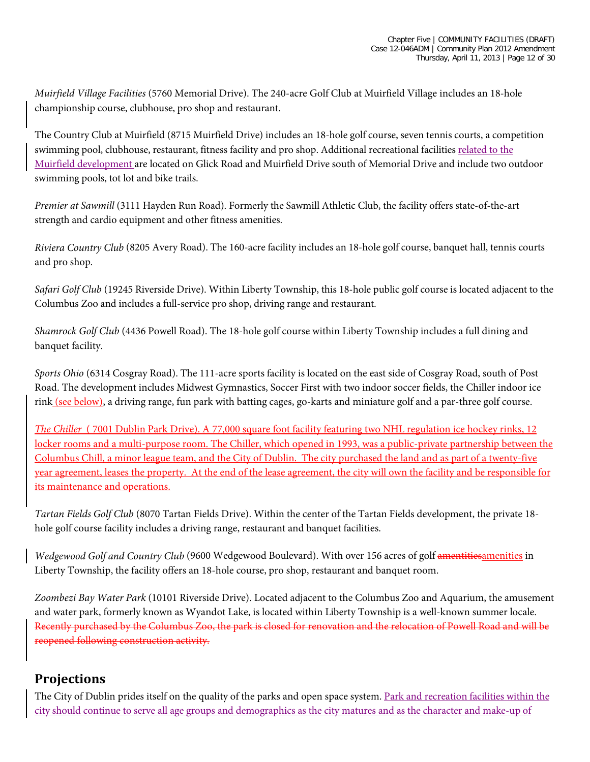*Muirfield Village Facilities* (5760 Memorial Drive). The 240-acre Golf Club at Muirfield Village includes an 18-hole championship course, clubhouse, pro shop and restaurant.

The Country Club at Muirfield (8715 Muirfield Drive) includes an 18-hole golf course, seven tennis courts, a competition swimming pool, clubhouse, restaurant, fitness facility and pro shop. Additional recreational facilities related to the Muirfield development are located on Glick Road and Muirfield Drive south of Memorial Drive and include two outdoor swimming pools, tot lot and bike trails.

*Premier at Sawmill* (3111 Hayden Run Road). Formerly the Sawmill Athletic Club, the facility offers state-of-the-art strength and cardio equipment and other fitness amenities.

*Riviera Country Club* (8205 Avery Road). The 160-acre facility includes an 18-hole golf course, banquet hall, tennis courts and pro shop.

*Safari Golf Club* (19245 Riverside Drive). Within Liberty Township, this 18-hole public golf course is located adjacent to the Columbus Zoo and includes a full-service pro shop, driving range and restaurant.

*Shamrock Golf Club* (4436 Powell Road). The 18-hole golf course within Liberty Township includes a full dining and banquet facility.

*Sports Ohio* (6314 Cosgray Road). The 111-acre sports facility is located on the east side of Cosgray Road, south of Post Road. The development includes Midwest Gymnastics, Soccer First with two indoor soccer fields, the Chiller indoor ice rink (see below), a driving range, fun park with batting cages, go-karts and miniature golf and a par-three golf course.

*The Chiller* ( 7001 Dublin Park Drive). A 77,000 square foot facility featuring two NHL regulation ice hockey rinks, 12 locker rooms and a multi-purpose room. The Chiller, which opened in 1993, was a public-private partnership between the Columbus Chill, a minor league team, and the City of Dublin. The city purchased the land and as part of a twenty-five year agreement, leases the property. At the end of the lease agreement, the city will own the facility and be responsible for its maintenance and operations.

*Tartan Fields Golf Club* (8070 Tartan Fields Drive). Within the center of the Tartan Fields development, the private 18 hole golf course facility includes a driving range, restaurant and banquet facilities.

*Wedgewood Golf and Country Club* (9600 Wedgewood Boulevard). With over 156 acres of golf amentities amentities in Liberty Township, the facility offers an 18-hole course, pro shop, restaurant and banquet room.

*Zoombezi Bay Water Park* (10101 Riverside Drive). Located adjacent to the Columbus Zoo and Aquarium, the amusement and water park, formerly known as Wyandot Lake, is located within Liberty Township is a well-known summer locale. Recently purchased by the Columbus Zoo, the park is closed for renovation and the relocation of Powell Road and will be reopened following construction activity.

#### **Projections**

The City of Dublin prides itself on the quality of the parks and open space system. Park and recreation facilities within the city should continue to serve all age groups and demographics as the city matures and as the character and make-up of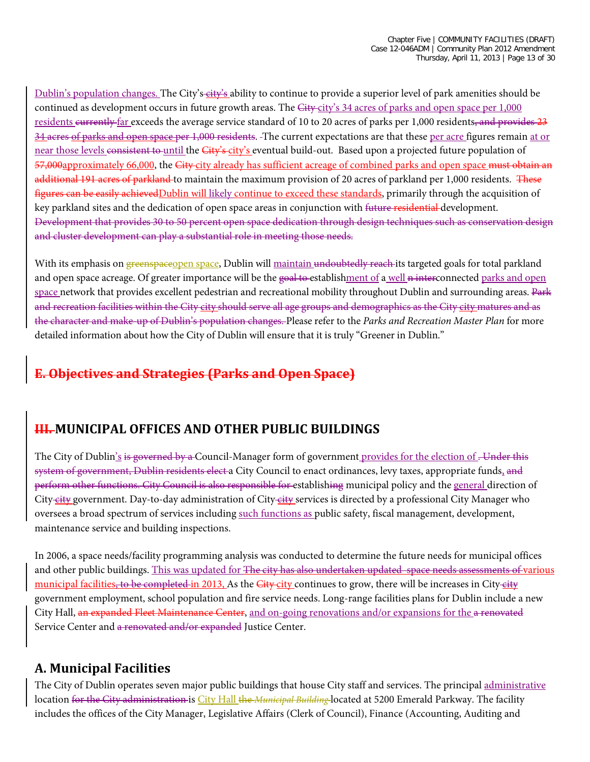Dublin's population changes. The City's city's ability to continue to provide a superior level of park amenities should be continued as development occurs in future growth areas. The City-city's 34 acres of parks and open space per 1,000 residents currently far exceeds the average service standard of 10 to 20 acres of parks per 1,000 residents, and provides 23 34 acres of parks and open space per 1,000 residents. The current expectations are that these per acre figures remain at or near those levels consistent to until the City's city's eventual build-out. Based upon a projected future population of 57,000approximately 66,000, the City-city already has sufficient acreage of combined parks and open space must obtain an additional 191 acres of parkland to maintain the maximum provision of 20 acres of parkland per 1,000 residents. These figures can be easily achievedDublin will likely continue to exceed these standards, primarily through the acquisition of key parkland sites and the dedication of open space areas in conjunction with future residential development. Development that provides 30 to 50 percent open space dedication through design techniques such as conservation design and cluster development can play a substantial role in meeting those needs.

With its emphasis on **greenspaceopen space**, Dublin will maintain undoubtedly reach its targeted goals for total parkland and open space acreage. Of greater importance will be the goal to establishment of a well n interconnected parks and open space network that provides excellent pedestrian and recreational mobility throughout Dublin and surrounding areas. Park and recreation facilities within the City city should serve all age groups and demographics as the City city matures and as the character and make-up of Dublin's population changes. Please refer to the *Parks and Recreation Master Plan* for more detailed information about how the City of Dublin will ensure that it is truly "Greener in Dublin."

### **E. Objectives and Strategies (Parks and Open Space)**

### **III. MUNICIPAL OFFICES AND OTHER PUBLIC BUILDINGS**

The City of Dublin's is governed by a Council-Manager form of government provides for the election of . Under this system of government, Dublin residents elect a City Council to enact ordinances, levy taxes, appropriate funds, and perform other functions. City Council is also responsible for establishing municipal policy and the general direction of City-city government. Day-to-day administration of City-city services is directed by a professional City Manager who oversees a broad spectrum of services including such functions as public safety, fiscal management, development, maintenance service and building inspections.

In 2006, a space needs/facility programming analysis was conducted to determine the future needs for municipal offices and other public buildings. This was updated for The city has also undertaken updated space needs assessments of various municipal facilities, to be completed in 2013, As the City city continues to grow, there will be increases in City-city government employment, school population and fire service needs. Long-range facilities plans for Dublin include a new City Hall, an expanded Fleet Maintenance Center, and on-going renovations and/or expansions for the a renovated Service Center and a renovated and/or expanded Justice Center.

### **A. Municipal Facilities**

The City of Dublin operates seven major public buildings that house City staff and services. The principal administrative location for the City administration is City Hall the *Municipal Building* located at 5200 Emerald Parkway. The facility includes the offices of the City Manager, Legislative Affairs (Clerk of Council), Finance (Accounting, Auditing and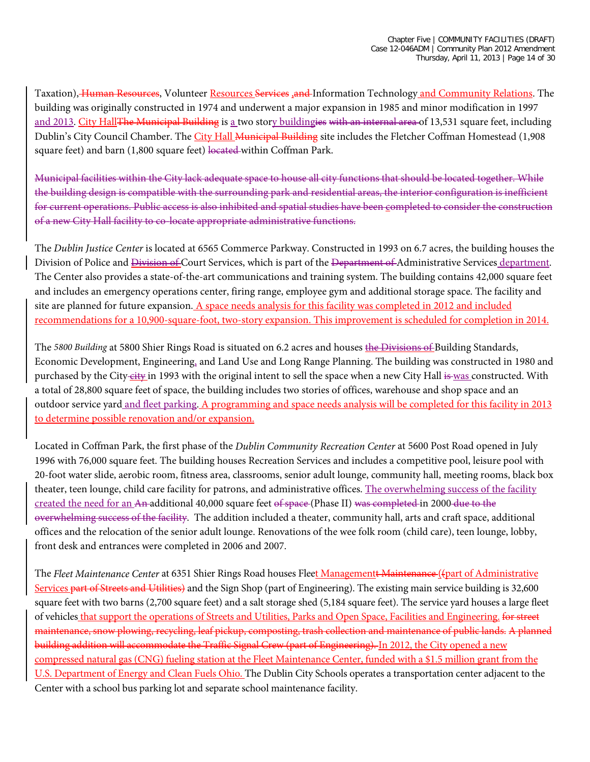Taxation), Human Resources, Volunteer Resources Services , and Information Technology and Community Relations. The building was originally constructed in 1974 and underwent a major expansion in 1985 and minor modification in 1997 and 2013. City HallThe Municipal Building is a two story buildingies with an internal area of 13,531 square feet, including Dublin's City Council Chamber. The City Hall Municipal Building site includes the Fletcher Coffman Homestead (1,908 square feet) and barn (1,800 square feet) located within Coffman Park.

Municipal facilities within the City lack adequate space to house all city functions that should be located together. While the building design is compatible with the surrounding park and residential areas, the interior configuration is inefficient for current operations. Public access is also inhibited and spatial studies have been completed to consider the construction of a new City Hall facility to co-locate appropriate administrative functions.

The *Dublin Justice Center* is located at 6565 Commerce Parkway. Constructed in 1993 on 6.7 acres, the building houses the Division of Police and *Division of* Court Services, which is part of the Department of Administrative Services department. The Center also provides a state-of-the-art communications and training system. The building contains 42,000 square feet and includes an emergency operations center, firing range, employee gym and additional storage space. The facility and site are planned for future expansion. A space needs analysis for this facility was completed in 2012 and included recommendations for a 10,900-square-foot, two-story expansion. This improvement is scheduled for completion in 2014.

The *5800 Building* at 5800 Shier Rings Road is situated on 6.2 acres and houses the Divisions of Building Standards, Economic Development, Engineering, and Land Use and Long Range Planning. The building was constructed in 1980 and purchased by the City city in 1993 with the original intent to sell the space when a new City Hall is was constructed. With a total of 28,800 square feet of space, the building includes two stories of offices, warehouse and shop space and an outdoor service yard and fleet parking. A programming and space needs analysis will be completed for this facility in 2013 to determine possible renovation and/or expansion.

Located in Coffman Park, the first phase of the *Dublin Community Recreation Center* at 5600 Post Road opened in July 1996 with 76,000 square feet. The building houses Recreation Services and includes a competitive pool, leisure pool with 20-foot water slide, aerobic room, fitness area, classrooms, senior adult lounge, community hall, meeting rooms, black box theater, teen lounge, child care facility for patrons, and administrative offices. The overwhelming success of the facility created the need for an An additional 40,000 square feet of space (Phase II) was completed in 2000 due to the overwhelming success of the facility. The addition included a theater, community hall, arts and craft space, additional offices and the relocation of the senior adult lounge. Renovations of the wee folk room (child care), teen lounge, lobby, front desk and entrances were completed in 2006 and 2007.

The *Fleet Maintenance Center* at 6351 Shier Rings Road houses Fleet Managementt Maintenance ((part of Administrative Services part of Streets and Utilities) and the Sign Shop (part of Engineering). The existing main service building is 32,600 square feet with two barns (2,700 square feet) and a salt storage shed (5,184 square feet). The service yard houses a large fleet of vehicles that support the operations of Streets and Utilities, Parks and Open Space, Facilities and Engineering. for street maintenance, snow plowing, recycling, leaf pickup, composting, trash collection and maintenance of public lands. A planned building addition will accommodate the Traffic Signal Crew (part of Engineering). In 2012, the City opened a new compressed natural gas (CNG) fueling station at the Fleet Maintenance Center, funded with a \$1.5 million grant from the U.S. Department of Energy and Clean Fuels Ohio. The Dublin City Schools operates a transportation center adjacent to the Center with a school bus parking lot and separate school maintenance facility.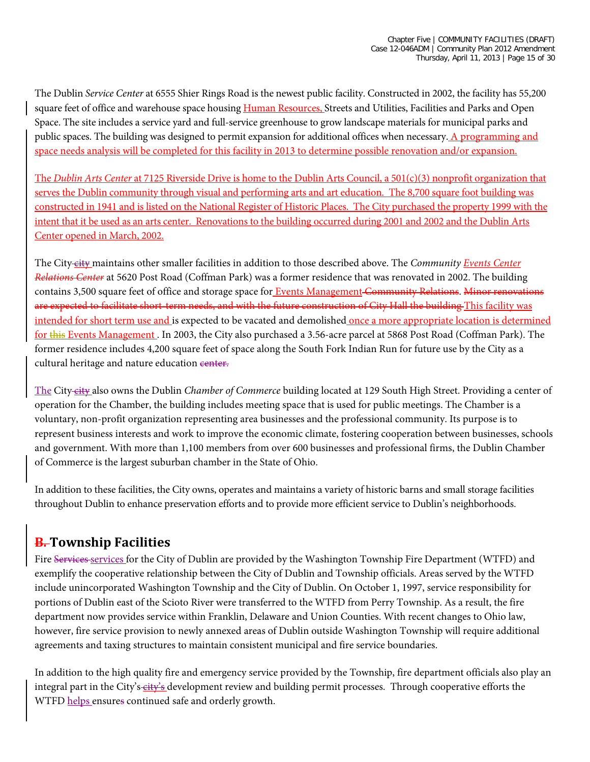The Dublin *Service Center* at 6555 Shier Rings Road is the newest public facility. Constructed in 2002, the facility has 55,200 square feet of office and warehouse space housing Human Resources, Streets and Utilities, Facilities and Parks and Open Space. The site includes a service yard and full-service greenhouse to grow landscape materials for municipal parks and public spaces. The building was designed to permit expansion for additional offices when necessary. A programming and space needs analysis will be completed for this facility in 2013 to determine possible renovation and/or expansion.

The *Dublin Arts Center* at 7125 Riverside Drive is home to the Dublin Arts Council, a 501(c)(3) nonprofit organization that serves the Dublin community through visual and performing arts and art education. The 8,700 square foot building was constructed in 1941 and is listed on the National Register of Historic Places. The City purchased the property 1999 with the intent that it be used as an arts center. Renovations to the building occurred during 2001 and 2002 and the Dublin Arts Center opened in March, 2002.

The City city maintains other smaller facilities in addition to those described above. The *Community Events Center Relations Center* at 5620 Post Road (Coffman Park) was a former residence that was renovated in 2002. The building contains 3,500 square feet of office and storage space for Events Management Community Relations. Minor renovations are expected to facilitate short-term needs, and with the future construction of City Hall the building This facility was intended for short term use and is expected to be vacated and demolished once a more appropriate location is determined for this Events Management. In 2003, the City also purchased a 3.56-acre parcel at 5868 Post Road (Coffman Park). The former residence includes 4,200 square feet of space along the South Fork Indian Run for future use by the City as a cultural heritage and nature education center.

The City city also owns the Dublin *Chamber of Commerce* building located at 129 South High Street. Providing a center of operation for the Chamber, the building includes meeting space that is used for public meetings. The Chamber is a voluntary, non-profit organization representing area businesses and the professional community. Its purpose is to represent business interests and work to improve the economic climate, fostering cooperation between businesses, schools and government. With more than 1,100 members from over 600 businesses and professional firms, the Dublin Chamber of Commerce is the largest suburban chamber in the State of Ohio.

In addition to these facilities, the City owns, operates and maintains a variety of historic barns and small storage facilities throughout Dublin to enhance preservation efforts and to provide more efficient service to Dublin's neighborhoods.

### **B. Township Facilities**

Fire Services services for the City of Dublin are provided by the Washington Township Fire Department (WTFD) and exemplify the cooperative relationship between the City of Dublin and Township officials. Areas served by the WTFD include unincorporated Washington Township and the City of Dublin. On October 1, 1997, service responsibility for portions of Dublin east of the Scioto River were transferred to the WTFD from Perry Township. As a result, the fire department now provides service within Franklin, Delaware and Union Counties. With recent changes to Ohio law, however, fire service provision to newly annexed areas of Dublin outside Washington Township will require additional agreements and taxing structures to maintain consistent municipal and fire service boundaries.

In addition to the high quality fire and emergency service provided by the Township, fire department officials also play an integral part in the City's-city's development review and building permit processes. Through cooperative efforts the WTFD helps ensures continued safe and orderly growth.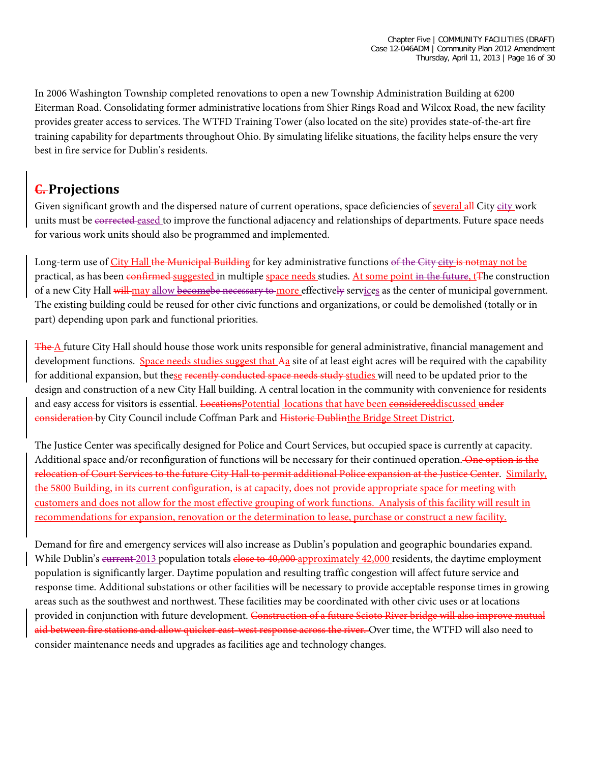In 2006 Washington Township completed renovations to open a new Township Administration Building at 6200 Eiterman Road. Consolidating former administrative locations from Shier Rings Road and Wilcox Road, the new facility provides greater access to services. The WTFD Training Tower (also located on the site) provides state-of-the-art fire training capability for departments throughout Ohio. By simulating lifelike situations, the facility helps ensure the very best in fire service for Dublin's residents.

### **C. Projections**

Given significant growth and the dispersed nature of current operations, space deficiencies of several all City city work units must be corrected-eased to improve the functional adjacency and relationships of departments. Future space needs for various work units should also be programmed and implemented.

Long-term use of City Hall the Municipal Building for key administrative functions of the City city is notmay not be practical, as has been confirmed suggested in multiple space needs studies. At some point in the future, t<sup>The</sup> construction of a new City Hall will may allow becomebe necessary to more effectively services as the center of municipal government. The existing building could be reused for other civic functions and organizations, or could be demolished (totally or in part) depending upon park and functional priorities.

The A future City Hall should house those work units responsible for general administrative, financial management and development functions. Space needs studies suggest that Aa site of at least eight acres will be required with the capability for additional expansion, but these recently conducted space needs study studies will need to be updated prior to the design and construction of a new City Hall building. A central location in the community with convenience for residents and easy access for visitors is essential. LocationsPotential locations that have been considereddiscussed under consideration by City Council include Coffman Park and Historic Dublinthe Bridge Street District.

The Justice Center was specifically designed for Police and Court Services, but occupied space is currently at capacity. Additional space and/or reconfiguration of functions will be necessary for their continued operation. One option is the relocation of Court Services to the future City Hall to permit additional Police expansion at the Justice Center. Similarly, the 5800 Building, in its current configuration, is at capacity, does not provide appropriate space for meeting with customers and does not allow for the most effective grouping of work functions. Analysis of this facility will result in recommendations for expansion, renovation or the determination to lease, purchase or construct a new facility.

Demand for fire and emergency services will also increase as Dublin's population and geographic boundaries expand. While Dublin's current 2013 population totals close to 40,000 approximately 42,000 residents, the daytime employment population is significantly larger. Daytime population and resulting traffic congestion will affect future service and response time. Additional substations or other facilities will be necessary to provide acceptable response times in growing areas such as the southwest and northwest. These facilities may be coordinated with other civic uses or at locations provided in conjunction with future development. Construction of a future Scioto River bridge will also improve mutual aid between fire stations and allow quicker east-west response across the river. Over time, the WTFD will also need to consider maintenance needs and upgrades as facilities age and technology changes.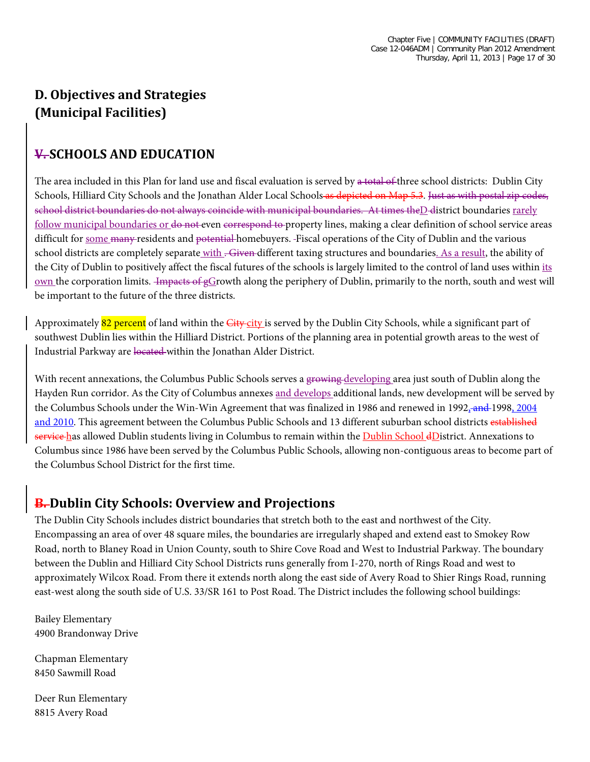## **D. Objectives and Strategies (Municipal Facilities)**

### **V. SCHOOLS AND EDUCATION**

The area included in this Plan for land use and fiscal evaluation is served by a total of three school districts: Dublin City Schools, Hilliard City Schools and the Jonathan Alder Local Schools as depicted on Map 5.3. Just as with postal zip codes, school district boundaries do not always coincide with municipal boundaries. At times the D district boundaries rarely follow municipal boundaries or do not even correspond to property lines, making a clear definition of school service areas difficult for some many residents and potential homebuyers. Fiscal operations of the City of Dublin and the various school districts are completely separate with . Given different taxing structures and boundaries. As a result, the ability of the City of Dublin to positively affect the fiscal futures of the schools is largely limited to the control of land uses within its own the corporation limits. Impacts of gGrowth along the periphery of Dublin, primarily to the north, south and west will be important to the future of the three districts.

Approximately 82 percent of land within the City-city is served by the Dublin City Schools, while a significant part of southwest Dublin lies within the Hilliard District. Portions of the planning area in potential growth areas to the west of Industrial Parkway are located within the Jonathan Alder District.

With recent annexations, the Columbus Public Schools serves a growing-developing area just south of Dublin along the Hayden Run corridor. As the City of Columbus annexes and develops additional lands, new development will be served by the Columbus Schools under the Win-Win Agreement that was finalized in 1986 and renewed in 1992, and 1998, 2004 and 2010. This agreement between the Columbus Public Schools and 13 different suburban school districts established service has allowed Dublin students living in Columbus to remain within the Dublin School dDistrict. Annexations to Columbus since 1986 have been served by the Columbus Public Schools, allowing non-contiguous areas to become part of the Columbus School District for the first time.

### **B. Dublin City Schools: Overview and Projections**

The Dublin City Schools includes district boundaries that stretch both to the east and northwest of the City. Encompassing an area of over 48 square miles, the boundaries are irregularly shaped and extend east to Smokey Row Road, north to Blaney Road in Union County, south to Shire Cove Road and West to Industrial Parkway. The boundary between the Dublin and Hilliard City School Districts runs generally from I-270, north of Rings Road and west to approximately Wilcox Road. From there it extends north along the east side of Avery Road to Shier Rings Road, running east-west along the south side of U.S. 33/SR 161 to Post Road. The District includes the following school buildings:

Bailey Elementary 4900 Brandonway Drive

Chapman Elementary 8450 Sawmill Road

Deer Run Elementary 8815 Avery Road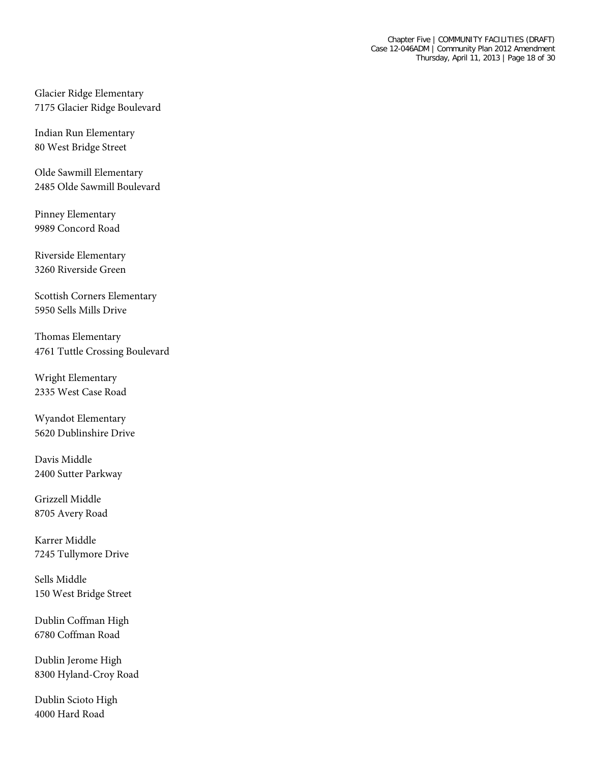Glacier Ridge Elementary 7175 Glacier Ridge Boulevard

Indian Run Elementary 80 West Bridge Street

Olde Sawmill Elementary 2485 Olde Sawmill Boulevard

Pinney Elementary 9989 Concord Road

Riverside Elementary 3260 Riverside Green

Scottish Corners Elementary 5950 Sells Mills Drive

Thomas Elementary 4761 Tuttle Crossing Boulevard

Wright Elementary 2335 West Case Road

Wyandot Elementary 5620 Dublinshire Drive

Davis Middle 2400 Sutter Parkway

Grizzell Middle 8705 Avery Road

Karrer Middle 7245 Tullymore Drive

Sells Middle 150 West Bridge Street

Dublin Coffman High 6780 Coffman Road

Dublin Jerome High 8300 Hyland-Croy Road

Dublin Scioto High 4000 Hard Road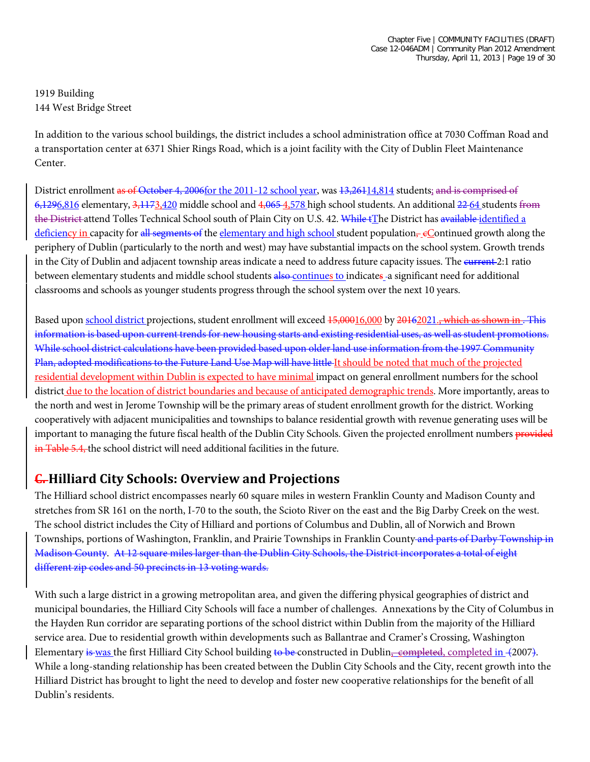1919 Building 144 West Bridge Street

In addition to the various school buildings, the district includes a school administration office at 7030 Coffman Road and a transportation center at 6371 Shier Rings Road, which is a joint facility with the City of Dublin Fleet Maintenance Center.

District enrollment as of October 4, 2006for the 2011-12 school year, was  $13,26114,814$  students; and is comprised of  $6,1296,816$  elementary,  $3,1173,420$  middle school and  $4,065-4,578$  high school students. An additional  $22-64$  students from the District attend Tolles Technical School south of Plain City on U.S. 42. While tThe District has available identified a deficiency in capacity for all segments of the elementary and high school student population, eContinued growth along the periphery of Dublin (particularly to the north and west) may have substantial impacts on the school system. Growth trends in the City of Dublin and adjacent township areas indicate a need to address future capacity issues. The eurrent 2:1 ratio between elementary students and middle school students also continues to indicates a significant need for additional classrooms and schools as younger students progress through the school system over the next 10 years.

Based upon school district projections, student enrollment will exceed  $15,00016,000$  by  $20162021$ , which as shown in. This information is based upon current trends for new housing starts and existing residential uses, as well as student promotions. While school district calculations have been provided based upon older land use information from the 1997 Community Plan, adopted modifications to the Future Land Use Map will have little It should be noted that much of the projected residential development within Dublin is expected to have minimal impact on general enrollment numbers for the school district due to the location of district boundaries and because of anticipated demographic trends. More importantly, areas to the north and west in Jerome Township will be the primary areas of student enrollment growth for the district. Working cooperatively with adjacent municipalities and townships to balance residential growth with revenue generating uses will be important to managing the future fiscal health of the Dublin City Schools. Given the projected enrollment numbers provided in Table 5.4, the school district will need additional facilities in the future.

#### **C. Hilliard City Schools: Overview and Projections**

The Hilliard school district encompasses nearly 60 square miles in western Franklin County and Madison County and stretches from SR 161 on the north, I-70 to the south, the Scioto River on the east and the Big Darby Creek on the west. The school district includes the City of Hilliard and portions of Columbus and Dublin, all of Norwich and Brown Townships, portions of Washington, Franklin, and Prairie Townships in Franklin County and parts of Darby Township in Madison County. At 12 square miles larger than the Dublin City Schools, the District incorporates a total of eight different zip codes and 50 precincts in 13 voting wards.

With such a large district in a growing metropolitan area, and given the differing physical geographies of district and municipal boundaries, the Hilliard City Schools will face a number of challenges. Annexations by the City of Columbus in the Hayden Run corridor are separating portions of the school district within Dublin from the majority of the Hilliard service area. Due to residential growth within developments such as Ballantrae and Cramer's Crossing, Washington Elementary is was the first Hilliard City School building to be constructed in Dublin, completed, completed in (2007). While a long-standing relationship has been created between the Dublin City Schools and the City, recent growth into the Hilliard District has brought to light the need to develop and foster new cooperative relationships for the benefit of all Dublin's residents.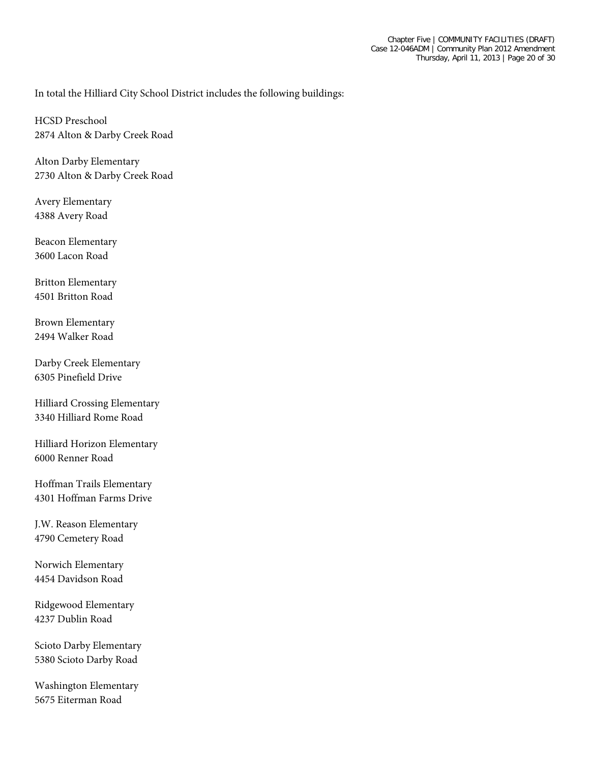In total the Hilliard City School District includes the following buildings:

HCSD Preschool 2874 Alton & Darby Creek Road

Alton Darby Elementary 2730 Alton & Darby Creek Road

Avery Elementary 4388 Avery Road

Beacon Elementary 3600 Lacon Road

Britton Elementary 4501 Britton Road

Brown Elementary 2494 Walker Road

Darby Creek Elementary 6305 Pinefield Drive

Hilliard Crossing Elementary 3340 Hilliard Rome Road

Hilliard Horizon Elementary 6000 Renner Road

Hoffman Trails Elementary 4301 Hoffman Farms Drive

J.W. Reason Elementary 4790 Cemetery Road

Norwich Elementary 4454 Davidson Road

Ridgewood Elementary 4237 Dublin Road

Scioto Darby Elementary 5380 Scioto Darby Road

Washington Elementary 5675 Eiterman Road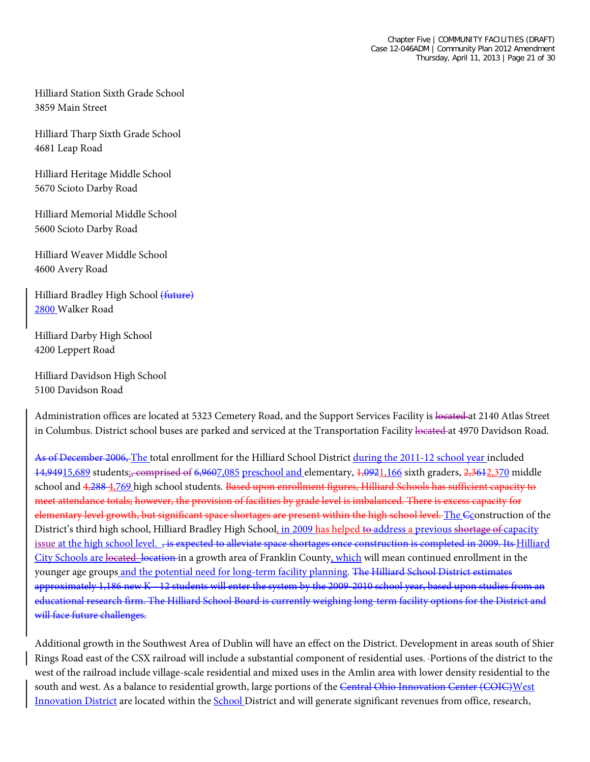Hilliard Station Sixth Grade School 3859 Main Street

Hilliard Tharp Sixth Grade School 4681 Leap Road

Hilliard Heritage Middle School 5670 Scioto Darby Road

Hilliard Memorial Middle School 5600 Scioto Darby Road

Hilliard Weaver Middle School 4600 Avery Road

Hilliard Bradley High School (future) 2800 Walker Road

Hilliard Darby High School 4200 Leppert Road

Hilliard Davidson High School 5100 Davidson Road

Administration offices are located at 5323 Cemetery Road, and the Support Services Facility is located at 2140 Atlas Street in Columbus. District school buses are parked and serviced at the Transportation Facility located at 4970 Davidson Road.

As of December 2006, The total enrollment for the Hilliard School District during the 2011-12 school year included 14,94915,689 students;, comprised of 6,9607,085 preschool and elementary, 1,0921,166 sixth graders, 2,3612,370 middle school and 4,288 4,769 high school students. Based upon enrollment figures, Hilliard Schools has sufficient capacity to meet attendance totals; however, the provision of facilities by grade level is imbalanced. There is excess capacity for elementary level growth, but significant space shortages are present within the high school level. The Geonstruction of the District's third high school, Hilliard Bradley High School, in 2009 has helped to address a previous shortage of capacity issue at the high school level. , is expected to alleviate space shortages once construction is completed in 2009. Its Hilliard City Schools are located location in a growth area of Franklin County, which will mean continued enrollment in the younger age groups and the potential need for long-term facility planning. The Hilliard School District estimates approximately 1,186 new K - 12 students will enter the system by the 2009-2010 school year, based upon studies from an educational research firm. The Hilliard School Board is currently weighing long-term facility options for the District and will face future challenges.

Additional growth in the Southwest Area of Dublin will have an effect on the District. Development in areas south of Shier Rings Road east of the CSX railroad will include a substantial component of residential uses. Portions of the district to the west of the railroad include village-scale residential and mixed uses in the Amlin area with lower density residential to the south and west. As a balance to residential growth, large portions of the Central Ohio Innovation Center (COIC)West Innovation District are located within the School District and will generate significant revenues from office, research,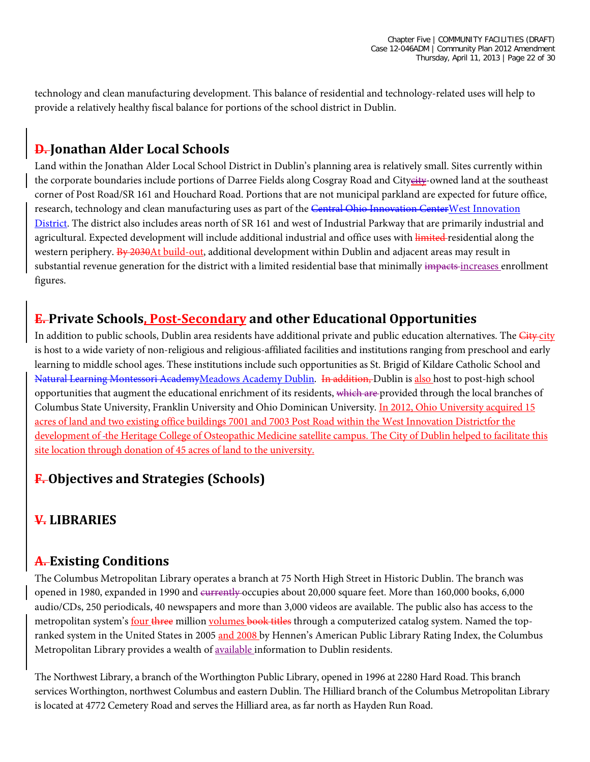technology and clean manufacturing development. This balance of residential and technology-related uses will help to provide a relatively healthy fiscal balance for portions of the school district in Dublin.

### **D. Jonathan Alder Local Schools**

Land within the Jonathan Alder Local School District in Dublin's planning area is relatively small. Sites currently within the corporate boundaries include portions of Darree Fields along Cosgray Road and Citycity-owned land at the southeast corner of Post Road/SR 161 and Houchard Road. Portions that are not municipal parkland are expected for future office, research, technology and clean manufacturing uses as part of the Central Ohio Innovation CenterWest Innovation District. The district also includes areas north of SR 161 and west of Industrial Parkway that are primarily industrial and agricultural. Expected development will include additional industrial and office uses with *limited*-residential along the western periphery. By 2030At build-out, additional development within Dublin and adjacent areas may result in substantial revenue generation for the district with a limited residential base that minimally impacts increases enrollment figures.

### **E. Private Schools, Post-Secondary and other Educational Opportunities**

In addition to public schools, Dublin area residents have additional private and public education alternatives. The *City-city* is host to a wide variety of non-religious and religious-affiliated facilities and institutions ranging from preschool and early learning to middle school ages. These institutions include such opportunities as St. Brigid of Kildare Catholic School and Natural Learning Montessori AcademyMeadows Academy Dublin. In addition, Dublin is also host to post-high school opportunities that augment the educational enrichment of its residents, which are provided through the local branches of Columbus State University, Franklin University and Ohio Dominican University. In 2012, Ohio University acquired 15 acres of land and two existing office buildings 7001 and 7003 Post Road within the West Innovation Districtfor the development of the Heritage College of Osteopathic Medicine satellite campus. The City of Dublin helped to facilitate this site location through donation of 45 acres of land to the university.

### **F. Objectives and Strategies (Schools)**

### **V. LIBRARIES**

#### **A. Existing Conditions**

The Columbus Metropolitan Library operates a branch at 75 North High Street in Historic Dublin. The branch was opened in 1980, expanded in 1990 and currently occupies about 20,000 square feet. More than 160,000 books, 6,000 audio/CDs, 250 periodicals, 40 newspapers and more than 3,000 videos are available. The public also has access to the metropolitan system's four three million volumes book titles through a computerized catalog system. Named the topranked system in the United States in 2005 and 2008 by Hennen's American Public Library Rating Index, the Columbus Metropolitan Library provides a wealth of available information to Dublin residents.

The Northwest Library, a branch of the Worthington Public Library, opened in 1996 at 2280 Hard Road. This branch services Worthington, northwest Columbus and eastern Dublin. The Hilliard branch of the Columbus Metropolitan Library is located at 4772 Cemetery Road and serves the Hilliard area, as far north as Hayden Run Road.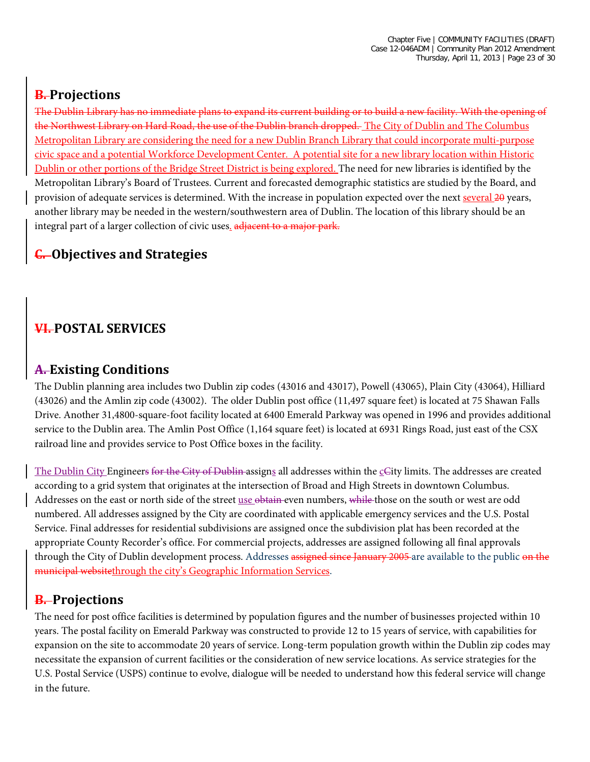### **B. Projections**

The Dublin Library has no immediate plans to expand its current building or to build a new facility. With the opening of the Northwest Library on Hard Road, the use of the Dublin branch dropped. The City of Dublin and The Columbus Metropolitan Library are considering the need for a new Dublin Branch Library that could incorporate multi-purpose civic space and a potential Workforce Development Center. A potential site for a new library location within Historic Dublin or other portions of the Bridge Street District is being explored. The need for new libraries is identified by the Metropolitan Library's Board of Trustees. Current and forecasted demographic statistics are studied by the Board, and provision of adequate services is determined. With the increase in population expected over the next several 20 years, another library may be needed in the western/southwestern area of Dublin. The location of this library should be an integral part of a larger collection of civic uses. adjacent to a major park.

## **C. Objectives and Strategies**

### **VI. POSTAL SERVICES**

### **A. Existing Conditions**

The Dublin planning area includes two Dublin zip codes (43016 and 43017), Powell (43065), Plain City (43064), Hilliard (43026) and the Amlin zip code (43002). The older Dublin post office (11,497 square feet) is located at 75 Shawan Falls Drive. Another 31,4800-square-foot facility located at 6400 Emerald Parkway was opened in 1996 and provides additional service to the Dublin area. The Amlin Post Office (1,164 square feet) is located at 6931 Rings Road, just east of the CSX railroad line and provides service to Post Office boxes in the facility.

The Dublin City Engineers for the City of Dublin assigns all addresses within the cCity limits. The addresses are created according to a grid system that originates at the intersection of Broad and High Streets in downtown Columbus. Addresses on the east or north side of the street use obtain even numbers, while those on the south or west are odd numbered. All addresses assigned by the City are coordinated with applicable emergency services and the U.S. Postal Service. Final addresses for residential subdivisions are assigned once the subdivision plat has been recorded at the appropriate County Recorder's office. For commercial projects, addresses are assigned following all final approvals through the City of Dublin development process. Addresses assigned since January 2005 are available to the public on the municipal websitethrough the city's [Geographic Information Services.](http://dublinohiousa.gov/gis-maps/)

### **B. Projections**

The need for post office facilities is determined by population figures and the number of businesses projected within 10 years. The postal facility on Emerald Parkway was constructed to provide 12 to 15 years of service, with capabilities for expansion on the site to accommodate 20 years of service. Long-term population growth within the Dublin zip codes may necessitate the expansion of current facilities or the consideration of new service locations. As service strategies for the U.S. Postal Service (USPS) continue to evolve, dialogue will be needed to understand how this federal service will change in the future.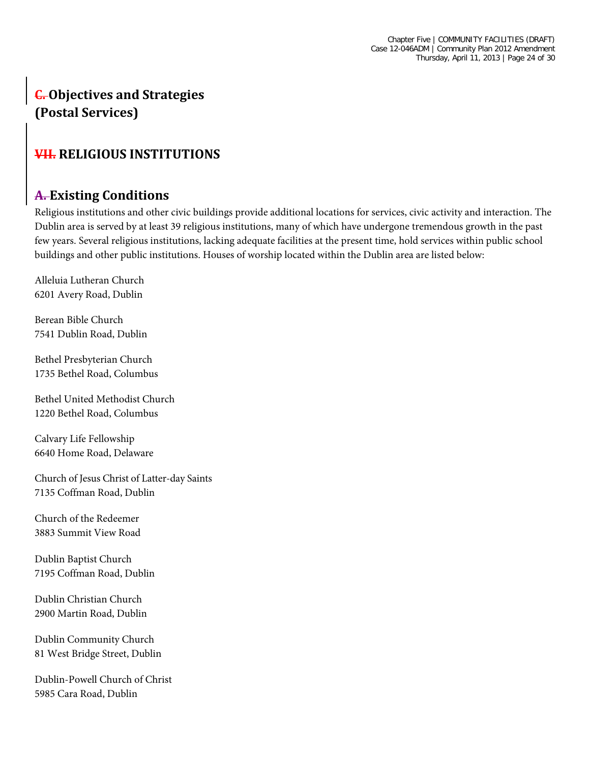## **C. Objectives and Strategies (Postal Services)**

### **VII. RELIGIOUS INSTITUTIONS**

### **A. Existing Conditions**

Religious institutions and other civic buildings provide additional locations for services, civic activity and interaction. The Dublin area is served by at least 39 religious institutions, many of which have undergone tremendous growth in the past few years. Several religious institutions, lacking adequate facilities at the present time, hold services within public school buildings and other public institutions. Houses of worship located within the Dublin area are listed below:

Alleluia Lutheran Church 6201 Avery Road, Dublin

Berean Bible Church 7541 Dublin Road, Dublin

Bethel Presbyterian Church 1735 Bethel Road, Columbus

Bethel United Methodist Church 1220 Bethel Road, Columbus

Calvary Life Fellowship 6640 Home Road, Delaware

Church of Jesus Christ of Latter-day Saints 7135 Coffman Road, Dublin

Church of the Redeemer 3883 Summit View Road

Dublin Baptist Church 7195 Coffman Road, Dublin

Dublin Christian Church 2900 Martin Road, Dublin

Dublin Community Church 81 West Bridge Street, Dublin

Dublin-Powell Church of Christ 5985 Cara Road, Dublin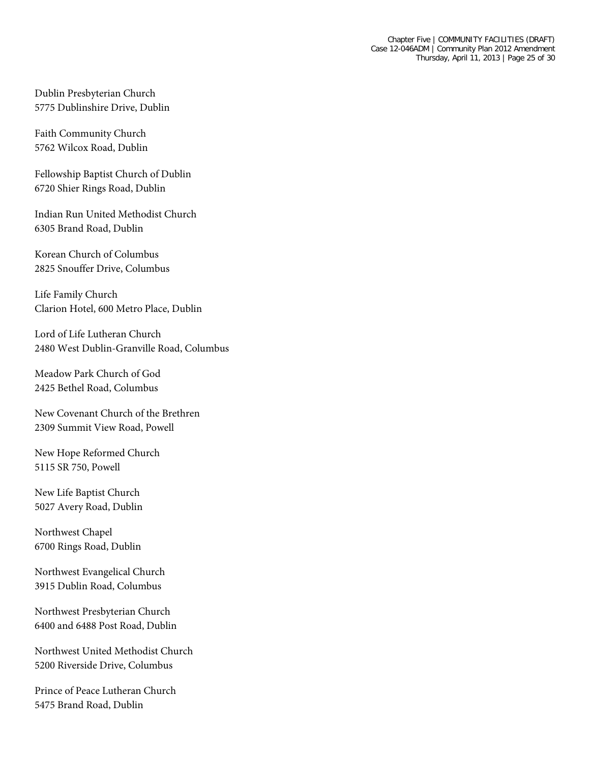Dublin Presbyterian Church 5775 Dublinshire Drive, Dublin

Faith Community Church 5762 Wilcox Road, Dublin

Fellowship Baptist Church of Dublin 6720 Shier Rings Road, Dublin

Indian Run United Methodist Church 6305 Brand Road, Dublin

Korean Church of Columbus 2825 Snouffer Drive, Columbus

Life Family Church Clarion Hotel, 600 Metro Place, Dublin

Lord of Life Lutheran Church 2480 West Dublin-Granville Road, Columbus

Meadow Park Church of God 2425 Bethel Road, Columbus

New Covenant Church of the Brethren 2309 Summit View Road, Powell

New Hope Reformed Church 5115 SR 750, Powell

New Life Baptist Church 5027 Avery Road, Dublin

Northwest Chapel 6700 Rings Road, Dublin

Northwest Evangelical Church 3915 Dublin Road, Columbus

Northwest Presbyterian Church 6400 and 6488 Post Road, Dublin

Northwest United Methodist Church 5200 Riverside Drive, Columbus

Prince of Peace Lutheran Church 5475 Brand Road, Dublin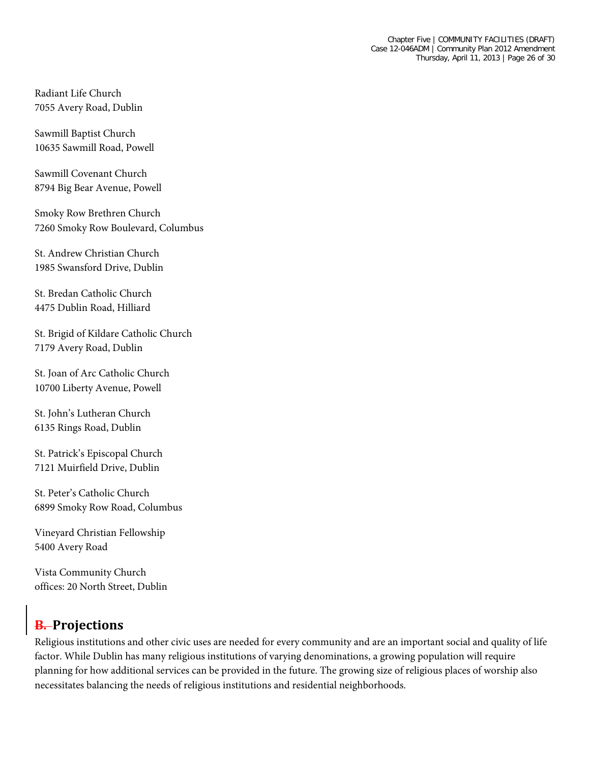Radiant Life Church 7055 Avery Road, Dublin

Sawmill Baptist Church 10635 Sawmill Road, Powell

Sawmill Covenant Church 8794 Big Bear Avenue, Powell

Smoky Row Brethren Church 7260 Smoky Row Boulevard, Columbus

St. Andrew Christian Church 1985 Swansford Drive, Dublin

St. Bredan Catholic Church 4475 Dublin Road, Hilliard

St. Brigid of Kildare Catholic Church 7179 Avery Road, Dublin

St. Joan of Arc Catholic Church 10700 Liberty Avenue, Powell

St. John's Lutheran Church 6135 Rings Road, Dublin

St. Patrick's Episcopal Church 7121 Muirfield Drive, Dublin

St. Peter's Catholic Church 6899 Smoky Row Road, Columbus

Vineyard Christian Fellowship 5400 Avery Road

Vista Community Church offices: 20 North Street, Dublin

### **B. Projections**

Religious institutions and other civic uses are needed for every community and are an important social and quality of life factor. While Dublin has many religious institutions of varying denominations, a growing population will require planning for how additional services can be provided in the future. The growing size of religious places of worship also necessitates balancing the needs of religious institutions and residential neighborhoods.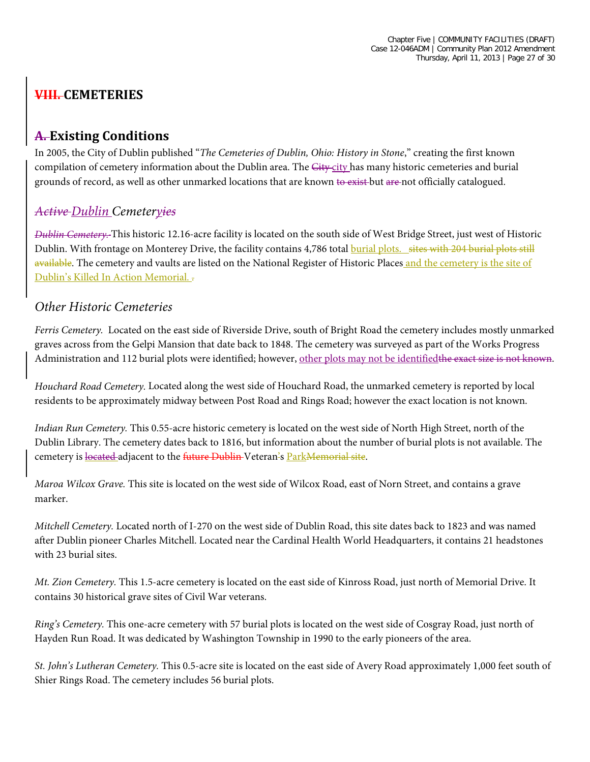### **VIII. CEMETERIES**

### **A. Existing Conditions**

In 2005, the City of Dublin published "*The Cemeteries of Dublin, Ohio: History in Stone*," creating the first known compilation of cemetery information about the Dublin area. The City city has many historic cemeteries and burial grounds of record, as well as other unmarked locations that are known to exist-but are not officially catalogued.

#### *Active Dublin Cemeteryies*

*Dublin Cemetery.* This historic 12.16-acre facility is located on the south side of West Bridge Street, just west of Historic Dublin. With frontage on Monterey Drive, the facility contains 4,786 total burial plots. sites with 204 burial plots still available. The cemetery and vaults are listed on the National Register of Historic Places and the cemetery is the site of Dublin's Killed In Action Memorial. .

#### *Other Historic Cemeteries*

*Ferris Cemetery.* Located on the east side of Riverside Drive, south of Bright Road the cemetery includes mostly unmarked graves across from the Gelpi Mansion that date back to 1848. The cemetery was surveyed as part of the Works Progress Administration and 112 burial plots were identified; however, other plots may not be identified the exact size is not known.

*Houchard Road Cemetery.* Located along the west side of Houchard Road, the unmarked cemetery is reported by local residents to be approximately midway between Post Road and Rings Road; however the exact location is not known.

*Indian Run Cemetery.* This 0.55-acre historic cemetery is located on the west side of North High Street, north of the Dublin Library. The cemetery dates back to 1816, but information about the number of burial plots is not available. The cemetery is **located** adjacent to the future Dublin Veteran's **ParkMemorial site**.

*Maroa Wilcox Grave.* This site is located on the west side of Wilcox Road, east of Norn Street, and contains a grave marker.

*Mitchell Cemetery.* Located north of I-270 on the west side of Dublin Road, this site dates back to 1823 and was named after Dublin pioneer Charles Mitchell. Located near the Cardinal Health World Headquarters, it contains 21 headstones with 23 burial sites.

*Mt. Zion Cemetery.* This 1.5-acre cemetery is located on the east side of Kinross Road, just north of Memorial Drive. It contains 30 historical grave sites of Civil War veterans.

*Ring's Cemetery.* This one-acre cemetery with 57 burial plots is located on the west side of Cosgray Road, just north of Hayden Run Road. It was dedicated by Washington Township in 1990 to the early pioneers of the area.

*St. John's Lutheran Cemetery.* This 0.5-acre site is located on the east side of Avery Road approximately 1,000 feet south of Shier Rings Road. The cemetery includes 56 burial plots.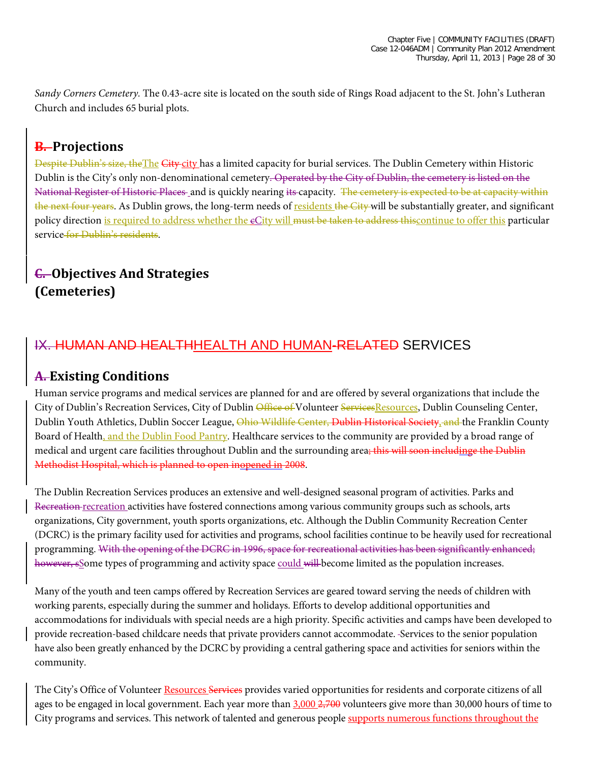*Sandy Corners Cemetery.* The 0.43-acre site is located on the south side of Rings Road adjacent to the St. John's Lutheran Church and includes 65 burial plots.

### **B. Projections**

Despite Dublin's size, theThe City city has a limited capacity for burial services. The Dublin Cemetery within Historic Dublin is the City's only non-denominational cemetery. Operated by the City of Dublin, the cemetery is listed on the National Register of Historic Places and is quickly nearing its capacity. The cemetery is expected to be at capacity within the next four years. As Dublin grows, the long-term needs of residents the City will be substantially greater, and significant policy direction is required to address whether the eCity will must be taken to address this continue to offer this particular service for Dublin's residents.

### **C. Objectives And Strategies (Cemeteries)**

## IX. HUMAN AND HEALTHHEALTH AND HUMAN-RELATED SERVICES

#### **A. Existing Conditions**

Human service programs and medical services are planned for and are offered by several organizations that include the City of Dublin's Recreation Services, City of Dublin Office of Volunteer ServicesResources, Dublin Counseling Center, Dublin Youth Athletics, Dublin Soccer League, Ohio Wildlife Center, Dublin Historical Society, and the Franklin County Board of Health, and the Dublin Food Pantry. Healthcare services to the community are provided by a broad range of medical and urgent care facilities throughout Dublin and the surrounding area; this will soon includinge the Dublin Methodist Hospital, which is planned to open inopened in 2008.

The Dublin Recreation Services produces an extensive and well-designed seasonal program of activities. Parks and Recreation recreation activities have fostered connections among various community groups such as schools, arts organizations, City government, youth sports organizations, etc. Although the Dublin Community Recreation Center (DCRC) is the primary facility used for activities and programs, school facilities continue to be heavily used for recreational programming. With the opening of the DCRC in 1996, space for recreational activities has been significantly enhanced; however, s<sub>S</sub>ome types of programming and activity space could will become limited as the population increases.

Many of the youth and teen camps offered by Recreation Services are geared toward serving the needs of children with working parents, especially during the summer and holidays. Efforts to develop additional opportunities and accommodations for individuals with special needs are a high priority. Specific activities and camps have been developed to provide recreation-based childcare needs that private providers cannot accommodate. Services to the senior population have also been greatly enhanced by the DCRC by providing a central gathering space and activities for seniors within the community.

The City's Office of Volunteer Resources Services provides varied opportunities for residents and corporate citizens of all ages to be engaged in local government. Each year more than  $3,000$   $2,700$  volunteers give more than 30,000 hours of time to City programs and services. This network of talented and generous people supports numerous functions throughout the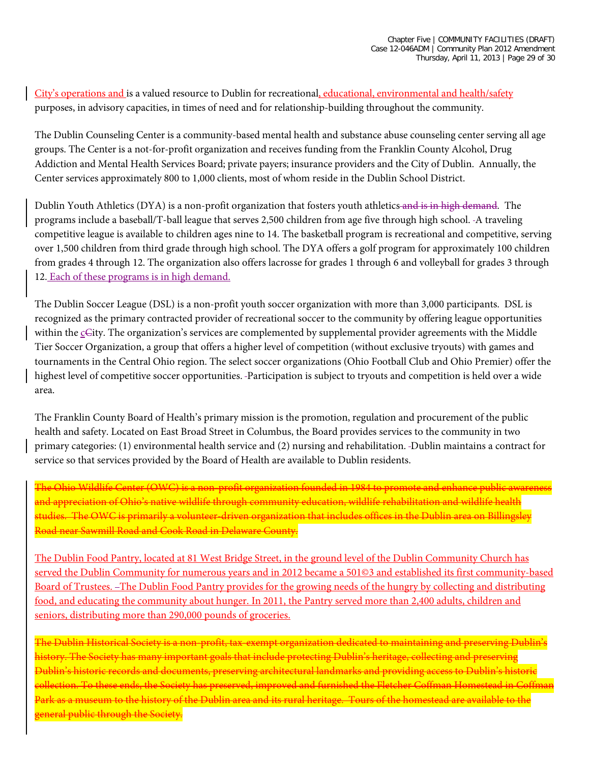City's operations and is a valued resource to Dublin for recreational, educational, environmental and health/safety purposes, in advisory capacities, in times of need and for relationship-building throughout the community.

The Dublin Counseling Center is a community-based mental health and substance abuse counseling center serving all age groups. The Center is a not-for-profit organization and receives funding from the Franklin County Alcohol, Drug Addiction and Mental Health Services Board; private payers; insurance providers and the City of Dublin. Annually, the Center services approximately 800 to 1,000 clients, most of whom reside in the Dublin School District.

Dublin Youth Athletics (DYA) is a non-profit organization that fosters youth athletics and is in high demand. The programs include a baseball/T-ball league that serves 2,500 children from age five through high school. A traveling competitive league is available to children ages nine to 14. The basketball program is recreational and competitive, serving over 1,500 children from third grade through high school. The DYA offers a golf program for approximately 100 children from grades 4 through 12. The organization also offers lacrosse for grades 1 through 6 and volleyball for grades 3 through 12. Each of these programs is in high demand.

The Dublin Soccer League (DSL) is a non-profit youth soccer organization with more than 3,000 participants. DSL is recognized as the primary contracted provider of recreational soccer to the community by offering league opportunities within the  $c\in$ ity. The organization's services are complemented by supplemental provider agreements with the Middle Tier Soccer Organization, a group that offers a higher level of competition (without exclusive tryouts) with games and tournaments in the Central Ohio region. The select soccer organizations (Ohio Football Club and Ohio Premier) offer the highest level of competitive soccer opportunities. Participation is subject to tryouts and competition is held over a wide area.

The Franklin County Board of Health's primary mission is the promotion, regulation and procurement of the public health and safety. Located on East Broad Street in Columbus, the Board provides services to the community in two primary categories: (1) environmental health service and (2) nursing and rehabilitation. Dublin maintains a contract for service so that services provided by the Board of Health are available to Dublin residents.

Wildlife Center (OWC) is a non-profit organization founded in 1984 to promote and enhance public awarenes and appreciation of Ohio's native wildlife through community education, wildlife rehabilitation and wildlife health The OWC is primarily a volunteer-driven organization that includes offices in the Dublin area on Billings Road near Sawmill Road and Cook Road in Delaware County.

The Dublin Food Pantry, located at 81 West Bridge Street, in the ground level of the Dublin Community Church has served the Dublin Community for numerous years and in 2012 became a 501©3 and established its first community-based Board of Trustees. The Dublin Food Pantry provides for the growing needs of the hungry by collecting and distributing food, and educating the community about hunger. In 2011, the Pantry served more than 2,400 adults, children and seniors, distributing more than 290,000 pounds of groceries.

The Dublin Historical Society is a non-profit, tax-exempt organization dedicated to maintaining and preserving has many important goals that include protecting Dublin's heritage, historic records and documents, preserving architectural landmarks and providing access to Dublin's historic To these ends, the Society has preserved, improved and furnished the Fletcher Coffman Homestead in Coffmar as a museum to the history of the Dublin area and its rural heritage. Tours of the homestead are available to the general public through the Society.